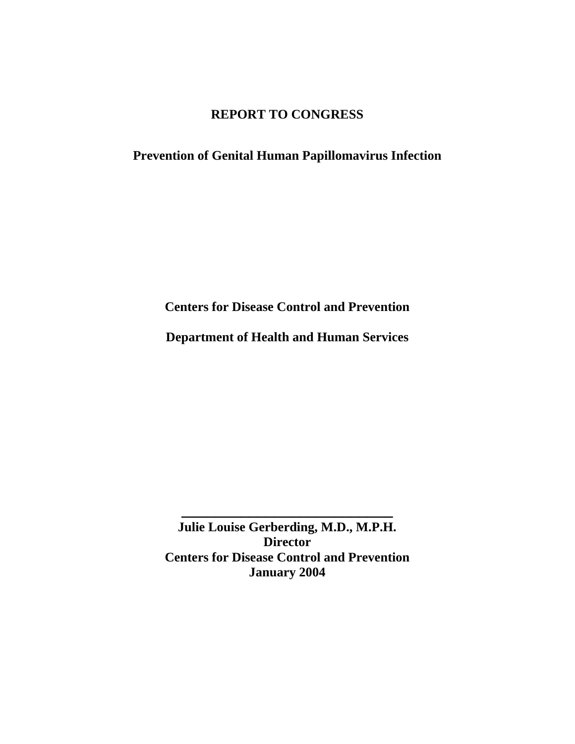# **REPORT TO CONGRESS**

## **Prevention of Genital Human Papillomavirus Infection**

**Centers for Disease Control and Prevention** 

**Department of Health and Human Services** 

**Julie Louise Gerberding, M.D., M.P.H. Director Centers for Disease Control and Prevention January 2004** 

**\_\_\_\_\_\_\_\_\_\_\_\_\_\_\_\_\_\_\_\_\_\_\_\_\_**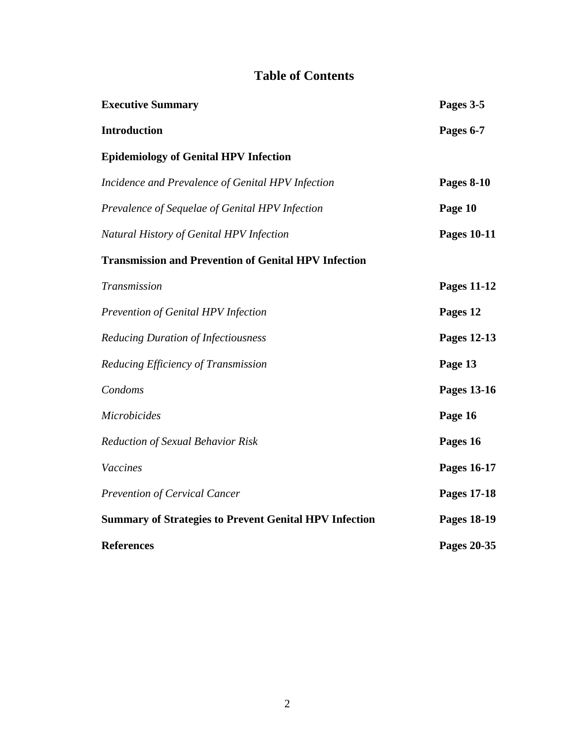# **Table of Contents**

| <b>Executive Summary</b>                                      | Pages 3-5          |
|---------------------------------------------------------------|--------------------|
| <b>Introduction</b>                                           | Pages 6-7          |
| <b>Epidemiology of Genital HPV Infection</b>                  |                    |
| Incidence and Prevalence of Genital HPV Infection             | <b>Pages 8-10</b>  |
| Prevalence of Sequelae of Genital HPV Infection               | Page 10            |
| Natural History of Genital HPV Infection                      | <b>Pages 10-11</b> |
| <b>Transmission and Prevention of Genital HPV Infection</b>   |                    |
| Transmission                                                  | <b>Pages 11-12</b> |
| Prevention of Genital HPV Infection                           | Pages 12           |
| <b>Reducing Duration of Infectiousness</b>                    | Pages 12-13        |
| Reducing Efficiency of Transmission                           | Page 13            |
| Condoms                                                       | Pages 13-16        |
| <b>Microbicides</b>                                           | Page 16            |
| <b>Reduction of Sexual Behavior Risk</b>                      | Pages 16           |
| Vaccines                                                      | Pages 16-17        |
| <b>Prevention of Cervical Cancer</b>                          | <b>Pages 17-18</b> |
| <b>Summary of Strategies to Prevent Genital HPV Infection</b> | <b>Pages 18-19</b> |
| <b>References</b>                                             | Pages 20-35        |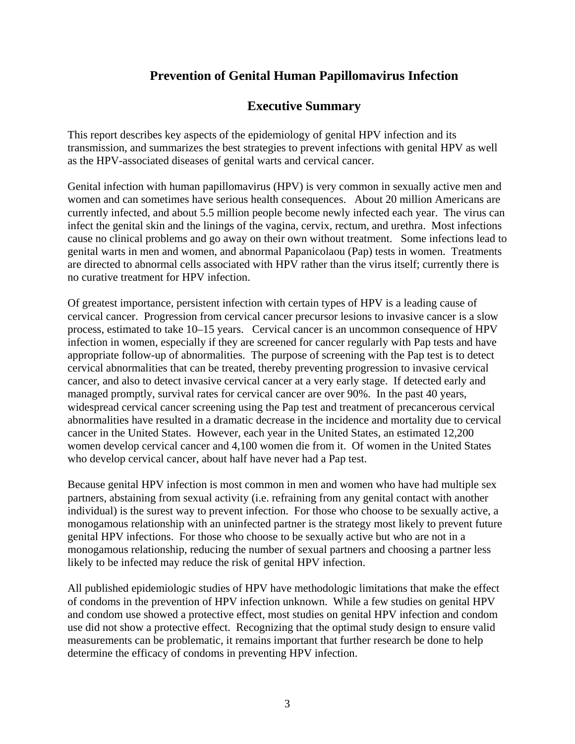## **Prevention of Genital Human Papillomavirus Infection**

## **Executive Summary**

This report describes key aspects of the epidemiology of genital HPV infection and its transmission, and summarizes the best strategies to prevent infections with genital HPV as well as the HPV-associated diseases of genital warts and cervical cancer.

Genital infection with human papillomavirus (HPV) is very common in sexually active men and women and can sometimes have serious health consequences. About 20 million Americans are currently infected, and about 5.5 million people become newly infected each year. The virus can infect the genital skin and the linings of the vagina, cervix, rectum, and urethra. Most infections cause no clinical problems and go away on their own without treatment. Some infections lead to genital warts in men and women, and abnormal Papanicolaou (Pap) tests in women. Treatments are directed to abnormal cells associated with HPV rather than the virus itself; currently there is no curative treatment for HPV infection.

Of greatest importance, persistent infection with certain types of HPV is a leading cause of cervical cancer. Progression from cervical cancer precursor lesions to invasive cancer is a slow process, estimated to take 10–15 years. Cervical cancer is an uncommon consequence of HPV infection in women, especially if they are screened for cancer regularly with Pap tests and have appropriate follow-up of abnormalities. The purpose of screening with the Pap test is to detect cervical abnormalities that can be treated, thereby preventing progression to invasive cervical cancer, and also to detect invasive cervical cancer at a very early stage. If detected early and managed promptly, survival rates for cervical cancer are over 90%. In the past 40 years, widespread cervical cancer screening using the Pap test and treatment of precancerous cervical abnormalities have resulted in a dramatic decrease in the incidence and mortality due to cervical cancer in the United States. However, each year in the United States, an estimated 12,200 women develop cervical cancer and 4,100 women die from it. Of women in the United States who develop cervical cancer, about half have never had a Pap test.

Because genital HPV infection is most common in men and women who have had multiple sex partners, abstaining from sexual activity (i.e. refraining from any genital contact with another individual) is the surest way to prevent infection. For those who choose to be sexually active, a monogamous relationship with an uninfected partner is the strategy most likely to prevent future genital HPV infections. For those who choose to be sexually active but who are not in a monogamous relationship, reducing the number of sexual partners and choosing a partner less likely to be infected may reduce the risk of genital HPV infection.

All published epidemiologic studies of HPV have methodologic limitations that make the effect of condoms in the prevention of HPV infection unknown. While a few studies on genital HPV and condom use showed a protective effect, most studies on genital HPV infection and condom use did not show a protective effect. Recognizing that the optimal study design to ensure valid measurements can be problematic, it remains important that further research be done to help determine the efficacy of condoms in preventing HPV infection.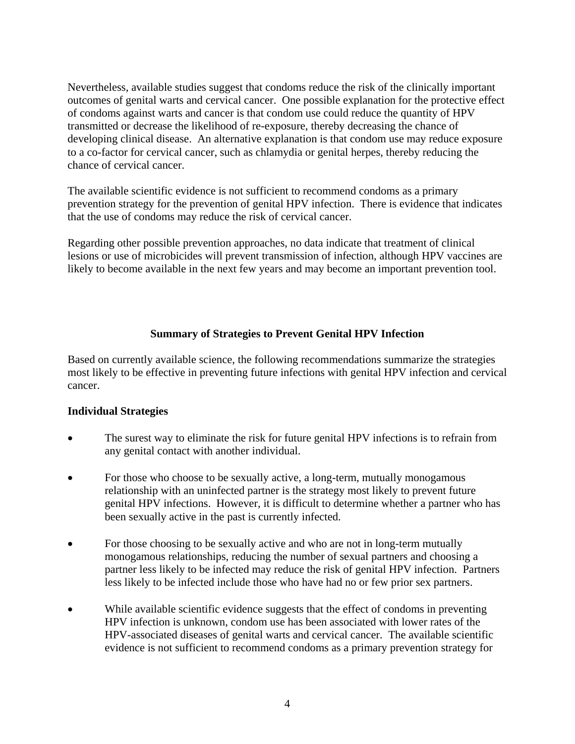Nevertheless, available studies suggest that condoms reduce the risk of the clinically important outcomes of genital warts and cervical cancer. One possible explanation for the protective effect of condoms against warts and cancer is that condom use could reduce the quantity of HPV transmitted or decrease the likelihood of re-exposure, thereby decreasing the chance of developing clinical disease. An alternative explanation is that condom use may reduce exposure to a co-factor for cervical cancer, such as chlamydia or genital herpes, thereby reducing the chance of cervical cancer.

The available scientific evidence is not sufficient to recommend condoms as a primary prevention strategy for the prevention of genital HPV infection. There is evidence that indicates that the use of condoms may reduce the risk of cervical cancer.

Regarding other possible prevention approaches, no data indicate that treatment of clinical lesions or use of microbicides will prevent transmission of infection, although HPV vaccines are likely to become available in the next few years and may become an important prevention tool.

### **Summary of Strategies to Prevent Genital HPV Infection**

Based on currently available science, the following recommendations summarize the strategies most likely to be effective in preventing future infections with genital HPV infection and cervical cancer.

#### **Individual Strategies**

- The surest way to eliminate the risk for future genital HPV infections is to refrain from any genital contact with another individual.
- For those who choose to be sexually active, a long-term, mutually monogamous relationship with an uninfected partner is the strategy most likely to prevent future genital HPV infections. However, it is difficult to determine whether a partner who has been sexually active in the past is currently infected.
- For those choosing to be sexually active and who are not in long-term mutually monogamous relationships, reducing the number of sexual partners and choosing a partner less likely to be infected may reduce the risk of genital HPV infection. Partners less likely to be infected include those who have had no or few prior sex partners.
- While available scientific evidence suggests that the effect of condoms in preventing HPV infection is unknown, condom use has been associated with lower rates of the HPV-associated diseases of genital warts and cervical cancer. The available scientific evidence is not sufficient to recommend condoms as a primary prevention strategy for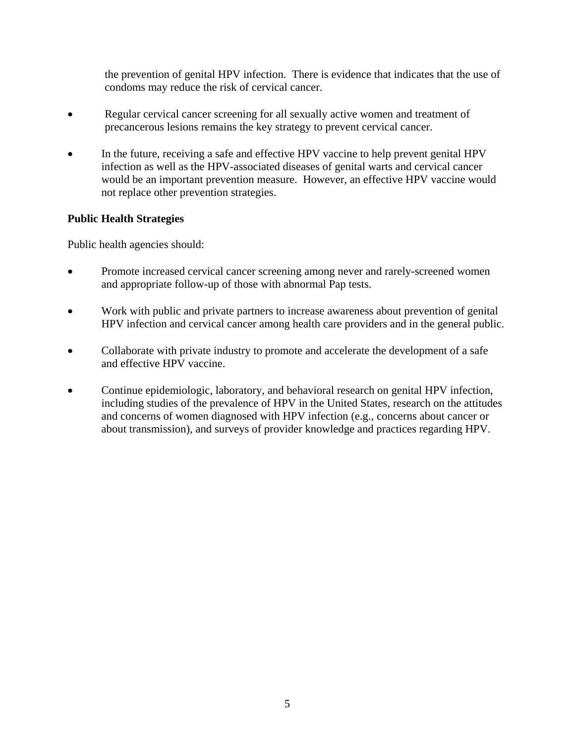the prevention of genital HPV infection. There is evidence that indicates that the use of condoms may reduce the risk of cervical cancer.

- Regular cervical cancer screening for all sexually active women and treatment of precancerous lesions remains the key strategy to prevent cervical cancer.
- In the future, receiving a safe and effective HPV vaccine to help prevent genital HPV infection as well as the HPV-associated diseases of genital warts and cervical cancer would be an important prevention measure. However, an effective HPV vaccine would not replace other prevention strategies.

## **Public Health Strategies**

Public health agencies should:

- Promote increased cervical cancer screening among never and rarely-screened women and appropriate follow-up of those with abnormal Pap tests.
- Work with public and private partners to increase awareness about prevention of genital HPV infection and cervical cancer among health care providers and in the general public.
- Collaborate with private industry to promote and accelerate the development of a safe and effective HPV vaccine.
- Continue epidemiologic, laboratory, and behavioral research on genital HPV infection, including studies of the prevalence of HPV in the United States, research on the attitudes and concerns of women diagnosed with HPV infection (e.g., concerns about cancer or about transmission), and surveys of provider knowledge and practices regarding HPV.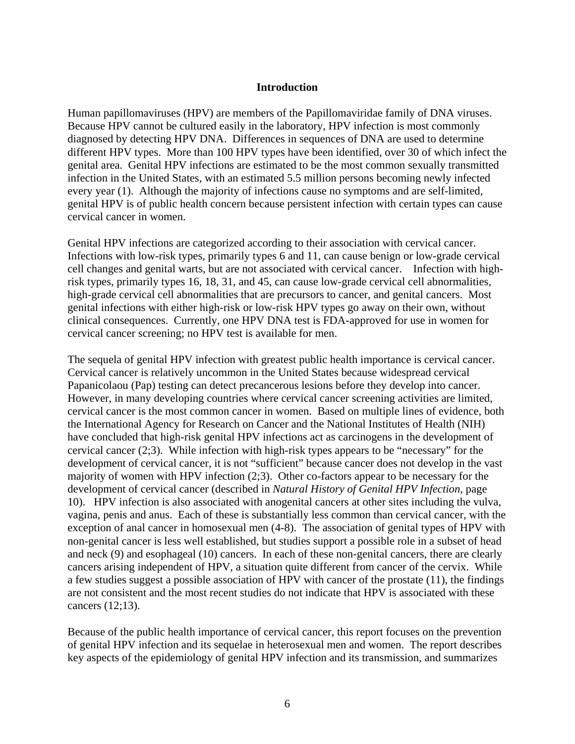#### **Introduction**

Human papillomaviruses (HPV) are members of the Papillomaviridae family of DNA viruses. Because HPV cannot be cultured easily in the laboratory, HPV infection is most commonly diagnosed by detecting HPV DNA. Differences in sequences of DNA are used to determine different HPV types. More than 100 HPV types have been identified, over 30 of which infect the genital area. Genital HPV infections are estimated to be the most common sexually transmitted infection in the United States, with an estimated 5.5 million persons becoming newly infected every year (1). Although the majority of infections cause no symptoms and are self-limited, genital HPV is of public health concern because persistent infection with certain types can cause cervical cancer in women.

Genital HPV infections are categorized according to their association with cervical cancer. Infections with low-risk types, primarily types 6 and 11, can cause benign or low-grade cervical cell changes and genital warts, but are not associated with cervical cancer. Infection with highrisk types, primarily types 16, 18, 31, and 45, can cause low-grade cervical cell abnormalities, high-grade cervical cell abnormalities that are precursors to cancer, and genital cancers. Most genital infections with either high-risk or low-risk HPV types go away on their own, without clinical consequences. Currently, one HPV DNA test is FDA-approved for use in women for cervical cancer screening; no HPV test is available for men.

The sequela of genital HPV infection with greatest public health importance is cervical cancer. Cervical cancer is relatively uncommon in the United States because widespread cervical Papanicolaou (Pap) testing can detect precancerous lesions before they develop into cancer. However, in many developing countries where cervical cancer screening activities are limited, cervical cancer is the most common cancer in women. Based on multiple lines of evidence, both the International Agency for Research on Cancer and the National Institutes of Health (NIH) have concluded that high-risk genital HPV infections act as carcinogens in the development of cervical cancer (2;3). While infection with high-risk types appears to be "necessary" for the development of cervical cancer, it is not "sufficient" because cancer does not develop in the vast majority of women with HPV infection (2;3). Other co-factors appear to be necessary for the development of cervical cancer (described in *Natural History of Genital HPV Infection,* page 10). HPV infection is also associated with anogenital cancers at other sites including the vulva, vagina, penis and anus. Each of these is substantially less common than cervical cancer, with the exception of anal cancer in homosexual men (4-8). The association of genital types of HPV with non-genital cancer is less well established, but studies support a possible role in a subset of head and neck (9) and esophageal (10) cancers. In each of these non-genital cancers, there are clearly cancers arising independent of HPV, a situation quite different from cancer of the cervix. While a few studies suggest a possible association of HPV with cancer of the prostate (11), the findings are not consistent and the most recent studies do not indicate that HPV is associated with these cancers (12;13).

Because of the public health importance of cervical cancer, this report focuses on the prevention of genital HPV infection and its sequelae in heterosexual men and women. The report describes key aspects of the epidemiology of genital HPV infection and its transmission, and summarizes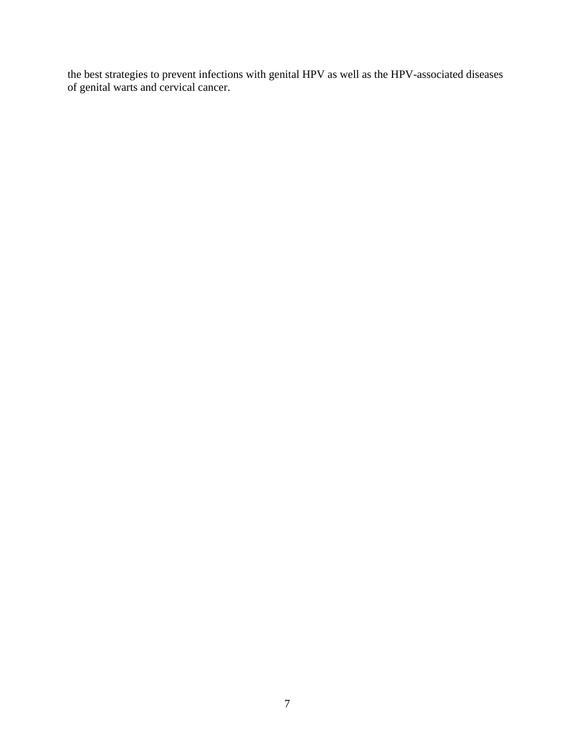the best strategies to prevent infections with genital HPV as well as the HPV-associated diseases of genital warts and cervical cancer.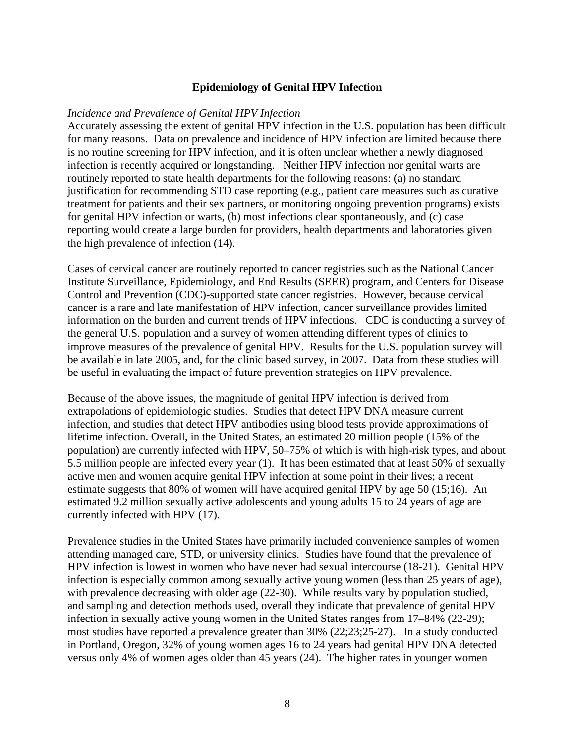#### **Epidemiology of Genital HPV Infection**

#### *Incidence and Prevalence of Genital HPV Infection*

Accurately assessing the extent of genital HPV infection in the U.S. population has been difficult for many reasons. Data on prevalence and incidence of HPV infection are limited because there is no routine screening for HPV infection, and it is often unclear whether a newly diagnosed infection is recently acquired or longstanding. Neither HPV infection nor genital warts are routinely reported to state health departments for the following reasons: (a) no standard justification for recommending STD case reporting (e.g., patient care measures such as curative treatment for patients and their sex partners, or monitoring ongoing prevention programs) exists for genital HPV infection or warts, (b) most infections clear spontaneously, and (c) case reporting would create a large burden for providers, health departments and laboratories given the high prevalence of infection (14).

Cases of cervical cancer are routinely reported to cancer registries such as the National Cancer Institute Surveillance, Epidemiology, and End Results (SEER) program, and Centers for Disease Control and Prevention (CDC)-supported state cancer registries. However, because cervical cancer is a rare and late manifestation of HPV infection, cancer surveillance provides limited information on the burden and current trends of HPV infections. CDC is conducting a survey of the general U.S. population and a survey of women attending different types of clinics to improve measures of the prevalence of genital HPV. Results for the U.S. population survey will be available in late 2005, and, for the clinic based survey, in 2007. Data from these studies will be useful in evaluating the impact of future prevention strategies on HPV prevalence.

Because of the above issues, the magnitude of genital HPV infection is derived from extrapolations of epidemiologic studies. Studies that detect HPV DNA measure current infection, and studies that detect HPV antibodies using blood tests provide approximations of lifetime infection. Overall, in the United States, an estimated 20 million people (15% of the population) are currently infected with HPV, 50–75% of which is with high-risk types, and about 5.5 million people are infected every year (1). It has been estimated that at least 50% of sexually active men and women acquire genital HPV infection at some point in their lives; a recent estimate suggests that 80% of women will have acquired genital HPV by age 50 (15;16). An estimated 9.2 million sexually active adolescents and young adults 15 to 24 years of age are currently infected with HPV (17).

Prevalence studies in the United States have primarily included convenience samples of women attending managed care, STD, or university clinics. Studies have found that the prevalence of HPV infection is lowest in women who have never had sexual intercourse (18-21). Genital HPV infection is especially common among sexually active young women (less than 25 years of age), with prevalence decreasing with older age (22-30). While results vary by population studied, and sampling and detection methods used, overall they indicate that prevalence of genital HPV infection in sexually active young women in the United States ranges from 17–84% (22-29); most studies have reported a prevalence greater than 30% (22;23;25-27). In a study conducted in Portland, Oregon, 32% of young women ages 16 to 24 years had genital HPV DNA detected versus only 4% of women ages older than 45 years (24). The higher rates in younger women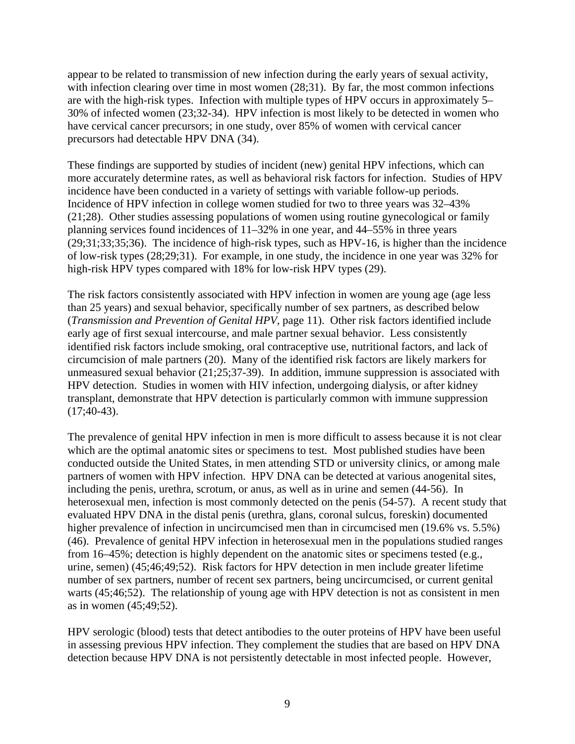appear to be related to transmission of new infection during the early years of sexual activity, with infection clearing over time in most women (28;31). By far, the most common infections are with the high-risk types. Infection with multiple types of HPV occurs in approximately 5– 30% of infected women (23;32-34). HPV infection is most likely to be detected in women who have cervical cancer precursors; in one study, over 85% of women with cervical cancer precursors had detectable HPV DNA (34).

These findings are supported by studies of incident (new) genital HPV infections, which can more accurately determine rates, as well as behavioral risk factors for infection. Studies of HPV incidence have been conducted in a variety of settings with variable follow-up periods. Incidence of HPV infection in college women studied for two to three years was 32–43% (21;28). Other studies assessing populations of women using routine gynecological or family planning services found incidences of 11–32% in one year, and 44–55% in three years (29;31;33;35;36). The incidence of high-risk types, such as HPV-16, is higher than the incidence of low-risk types (28;29;31). For example, in one study, the incidence in one year was 32% for high-risk HPV types compared with 18% for low-risk HPV types (29).

The risk factors consistently associated with HPV infection in women are young age (age less than 25 years) and sexual behavior, specifically number of sex partners, as described below (*Transmission and Prevention of Genital HPV,* page 11). Other risk factors identified include early age of first sexual intercourse, and male partner sexual behavior. Less consistently identified risk factors include smoking, oral contraceptive use, nutritional factors, and lack of circumcision of male partners (20). Many of the identified risk factors are likely markers for unmeasured sexual behavior (21;25;37-39). In addition, immune suppression is associated with HPV detection. Studies in women with HIV infection, undergoing dialysis, or after kidney transplant, demonstrate that HPV detection is particularly common with immune suppression  $(17; 40-43)$ .

The prevalence of genital HPV infection in men is more difficult to assess because it is not clear which are the optimal anatomic sites or specimens to test. Most published studies have been conducted outside the United States, in men attending STD or university clinics, or among male partners of women with HPV infection. HPV DNA can be detected at various anogenital sites, including the penis, urethra, scrotum, or anus, as well as in urine and semen (44-56). In heterosexual men, infection is most commonly detected on the penis (54-57). A recent study that evaluated HPV DNA in the distal penis (urethra, glans, coronal sulcus, foreskin) documented higher prevalence of infection in uncircumcised men than in circumcised men (19.6% vs. 5.5%) (46). Prevalence of genital HPV infection in heterosexual men in the populations studied ranges from 16–45%; detection is highly dependent on the anatomic sites or specimens tested (e.g., urine, semen) (45;46;49;52). Risk factors for HPV detection in men include greater lifetime number of sex partners, number of recent sex partners, being uncircumcised, or current genital warts (45;46;52). The relationship of young age with HPV detection is not as consistent in men as in women (45;49;52).

HPV serologic (blood) tests that detect antibodies to the outer proteins of HPV have been useful in assessing previous HPV infection. They complement the studies that are based on HPV DNA detection because HPV DNA is not persistently detectable in most infected people. However,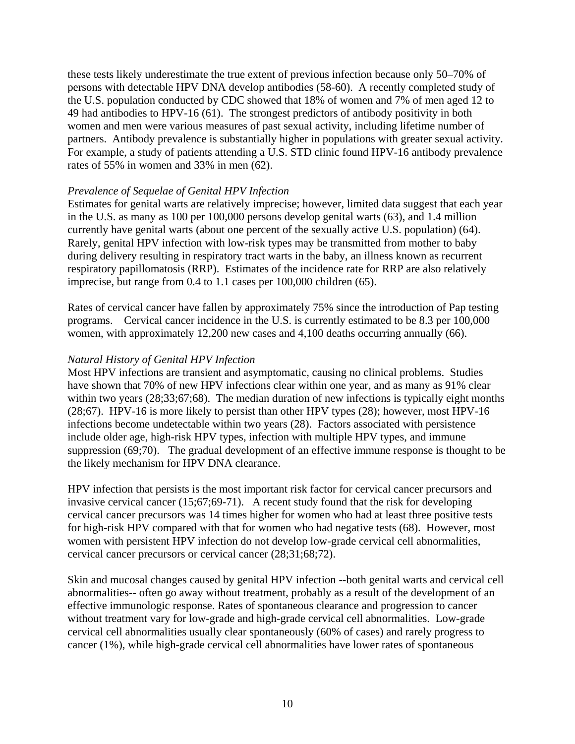these tests likely underestimate the true extent of previous infection because only 50–70% of persons with detectable HPV DNA develop antibodies (58-60). A recently completed study of the U.S. population conducted by CDC showed that 18% of women and 7% of men aged 12 to 49 had antibodies to HPV-16 (61). The strongest predictors of antibody positivity in both women and men were various measures of past sexual activity, including lifetime number of partners. Antibody prevalence is substantially higher in populations with greater sexual activity. For example, a study of patients attending a U.S. STD clinic found HPV-16 antibody prevalence rates of 55% in women and 33% in men (62).

#### *Prevalence of Sequelae of Genital HPV Infection*

Estimates for genital warts are relatively imprecise; however, limited data suggest that each year in the U.S. as many as 100 per 100,000 persons develop genital warts (63), and 1.4 million currently have genital warts (about one percent of the sexually active U.S. population) (64). Rarely, genital HPV infection with low-risk types may be transmitted from mother to baby during delivery resulting in respiratory tract warts in the baby, an illness known as recurrent respiratory papillomatosis (RRP). Estimates of the incidence rate for RRP are also relatively imprecise, but range from 0.4 to 1.1 cases per 100,000 children (65).

Rates of cervical cancer have fallen by approximately 75% since the introduction of Pap testing programs. Cervical cancer incidence in the U.S. is currently estimated to be 8.3 per 100,000 women, with approximately 12,200 new cases and 4,100 deaths occurring annually (66).

#### *Natural History of Genital HPV Infection*

Most HPV infections are transient and asymptomatic, causing no clinical problems. Studies have shown that 70% of new HPV infections clear within one year, and as many as 91% clear within two years (28;33;67;68). The median duration of new infections is typically eight months (28;67). HPV-16 is more likely to persist than other HPV types (28); however, most HPV-16 infections become undetectable within two years (28). Factors associated with persistence include older age, high-risk HPV types, infection with multiple HPV types, and immune suppression (69;70). The gradual development of an effective immune response is thought to be the likely mechanism for HPV DNA clearance.

HPV infection that persists is the most important risk factor for cervical cancer precursors and invasive cervical cancer (15;67;69-71). A recent study found that the risk for developing cervical cancer precursors was 14 times higher for women who had at least three positive tests for high-risk HPV compared with that for women who had negative tests (68). However, most women with persistent HPV infection do not develop low-grade cervical cell abnormalities, cervical cancer precursors or cervical cancer (28;31;68;72).

Skin and mucosal changes caused by genital HPV infection --both genital warts and cervical cell abnormalities-- often go away without treatment, probably as a result of the development of an effective immunologic response. Rates of spontaneous clearance and progression to cancer without treatment vary for low-grade and high-grade cervical cell abnormalities. Low-grade cervical cell abnormalities usually clear spontaneously (60% of cases) and rarely progress to cancer (1%), while high-grade cervical cell abnormalities have lower rates of spontaneous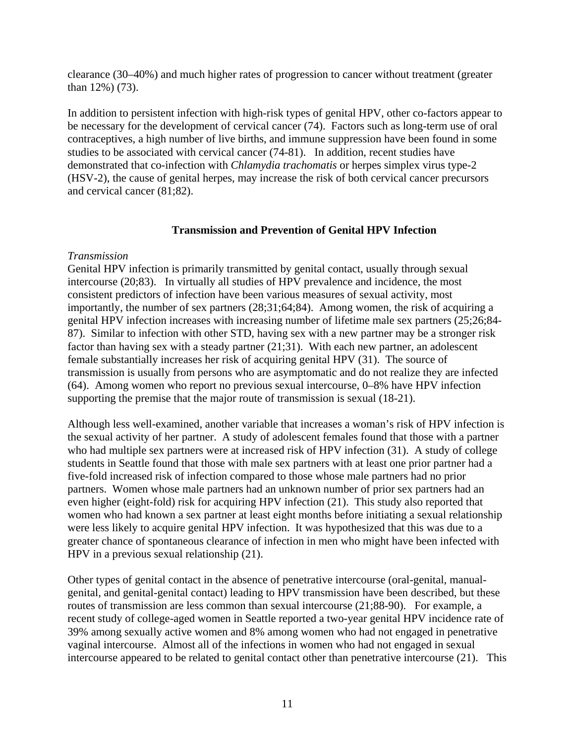clearance (30–40%) and much higher rates of progression to cancer without treatment (greater than 12%) (73).

In addition to persistent infection with high-risk types of genital HPV, other co-factors appear to be necessary for the development of cervical cancer (74). Factors such as long-term use of oral contraceptives, a high number of live births, and immune suppression have been found in some studies to be associated with cervical cancer (74-81). In addition, recent studies have demonstrated that co-infection with *Chlamydia trachomatis* or herpes simplex virus type-2 (HSV-2), the cause of genital herpes, may increase the risk of both cervical cancer precursors and cervical cancer (81;82).

#### **Transmission and Prevention of Genital HPV Infection**

#### *Transmission*

Genital HPV infection is primarily transmitted by genital contact, usually through sexual intercourse (20;83). In virtually all studies of HPV prevalence and incidence, the most consistent predictors of infection have been various measures of sexual activity, most importantly, the number of sex partners (28;31;64;84). Among women, the risk of acquiring a genital HPV infection increases with increasing number of lifetime male sex partners (25;26;84- 87). Similar to infection with other STD, having sex with a new partner may be a stronger risk factor than having sex with a steady partner (21;31). With each new partner, an adolescent female substantially increases her risk of acquiring genital HPV (31). The source of transmission is usually from persons who are asymptomatic and do not realize they are infected (64). Among women who report no previous sexual intercourse, 0–8% have HPV infection supporting the premise that the major route of transmission is sexual (18-21).

Although less well-examined, another variable that increases a woman's risk of HPV infection is the sexual activity of her partner. A study of adolescent females found that those with a partner who had multiple sex partners were at increased risk of HPV infection (31). A study of college students in Seattle found that those with male sex partners with at least one prior partner had a five-fold increased risk of infection compared to those whose male partners had no prior partners. Women whose male partners had an unknown number of prior sex partners had an even higher (eight-fold) risk for acquiring HPV infection (21). This study also reported that women who had known a sex partner at least eight months before initiating a sexual relationship were less likely to acquire genital HPV infection. It was hypothesized that this was due to a greater chance of spontaneous clearance of infection in men who might have been infected with HPV in a previous sexual relationship (21).

Other types of genital contact in the absence of penetrative intercourse (oral-genital, manualgenital, and genital-genital contact) leading to HPV transmission have been described, but these routes of transmission are less common than sexual intercourse (21;88-90). For example, a recent study of college-aged women in Seattle reported a two-year genital HPV incidence rate of 39% among sexually active women and 8% among women who had not engaged in penetrative vaginal intercourse. Almost all of the infections in women who had not engaged in sexual intercourse appeared to be related to genital contact other than penetrative intercourse (21). This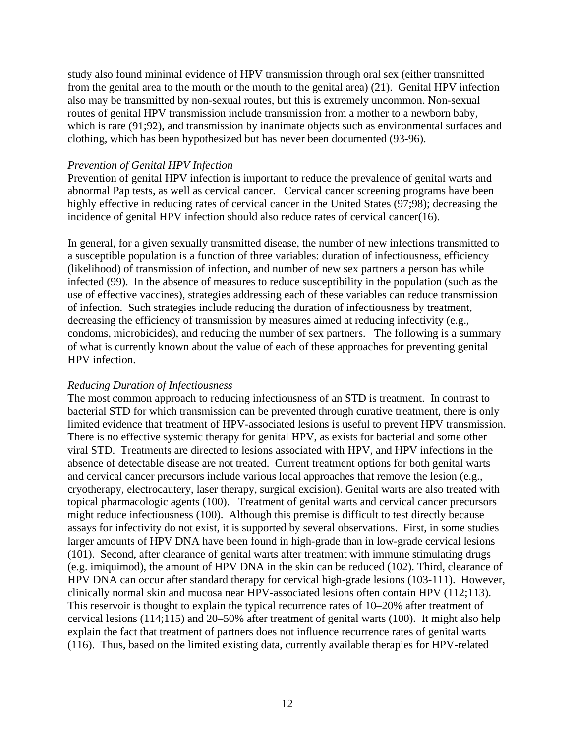study also found minimal evidence of HPV transmission through oral sex (either transmitted from the genital area to the mouth or the mouth to the genital area) (21). Genital HPV infection also may be transmitted by non-sexual routes, but this is extremely uncommon. Non-sexual routes of genital HPV transmission include transmission from a mother to a newborn baby, which is rare (91;92), and transmission by inanimate objects such as environmental surfaces and clothing, which has been hypothesized but has never been documented (93-96).

#### *Prevention of Genital HPV Infection*

Prevention of genital HPV infection is important to reduce the prevalence of genital warts and abnormal Pap tests, as well as cervical cancer. Cervical cancer screening programs have been highly effective in reducing rates of cervical cancer in the United States (97;98); decreasing the incidence of genital HPV infection should also reduce rates of cervical cancer(16).

In general, for a given sexually transmitted disease, the number of new infections transmitted to a susceptible population is a function of three variables: duration of infectiousness, efficiency (likelihood) of transmission of infection, and number of new sex partners a person has while infected (99). In the absence of measures to reduce susceptibility in the population (such as the use of effective vaccines), strategies addressing each of these variables can reduce transmission of infection. Such strategies include reducing the duration of infectiousness by treatment, decreasing the efficiency of transmission by measures aimed at reducing infectivity (e.g., condoms, microbicides), and reducing the number of sex partners. The following is a summary of what is currently known about the value of each of these approaches for preventing genital HPV infection.

#### *Reducing Duration of Infectiousness*

The most common approach to reducing infectiousness of an STD is treatment. In contrast to bacterial STD for which transmission can be prevented through curative treatment, there is only limited evidence that treatment of HPV-associated lesions is useful to prevent HPV transmission. There is no effective systemic therapy for genital HPV, as exists for bacterial and some other viral STD. Treatments are directed to lesions associated with HPV, and HPV infections in the absence of detectable disease are not treated. Current treatment options for both genital warts and cervical cancer precursors include various local approaches that remove the lesion (e.g., cryotherapy, electrocautery, laser therapy, surgical excision). Genital warts are also treated with topical pharmacologic agents (100). Treatment of genital warts and cervical cancer precursors might reduce infectiousness (100). Although this premise is difficult to test directly because assays for infectivity do not exist, it is supported by several observations. First, in some studies larger amounts of HPV DNA have been found in high-grade than in low-grade cervical lesions (101). Second, after clearance of genital warts after treatment with immune stimulating drugs (e.g. imiquimod), the amount of HPV DNA in the skin can be reduced (102). Third, clearance of HPV DNA can occur after standard therapy for cervical high-grade lesions (103-111). However, clinically normal skin and mucosa near HPV-associated lesions often contain HPV (112;113). This reservoir is thought to explain the typical recurrence rates of 10–20% after treatment of cervical lesions (114;115) and 20–50% after treatment of genital warts (100). It might also help explain the fact that treatment of partners does not influence recurrence rates of genital warts (116). Thus, based on the limited existing data, currently available therapies for HPV-related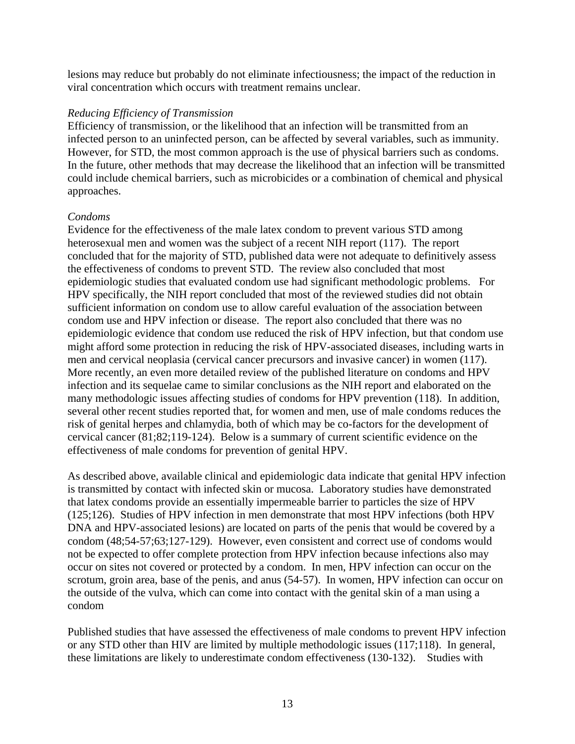lesions may reduce but probably do not eliminate infectiousness; the impact of the reduction in viral concentration which occurs with treatment remains unclear.

#### *Reducing Efficiency of Transmission*

Efficiency of transmission, or the likelihood that an infection will be transmitted from an infected person to an uninfected person, can be affected by several variables, such as immunity. However, for STD, the most common approach is the use of physical barriers such as condoms. In the future, other methods that may decrease the likelihood that an infection will be transmitted could include chemical barriers, such as microbicides or a combination of chemical and physical approaches.

## *Condoms*

Evidence for the effectiveness of the male latex condom to prevent various STD among heterosexual men and women was the subject of a recent NIH report (117). The report concluded that for the majority of STD, published data were not adequate to definitively assess the effectiveness of condoms to prevent STD. The review also concluded that most epidemiologic studies that evaluated condom use had significant methodologic problems. For HPV specifically, the NIH report concluded that most of the reviewed studies did not obtain sufficient information on condom use to allow careful evaluation of the association between condom use and HPV infection or disease. The report also concluded that there was no epidemiologic evidence that condom use reduced the risk of HPV infection, but that condom use might afford some protection in reducing the risk of HPV-associated diseases, including warts in men and cervical neoplasia (cervical cancer precursors and invasive cancer) in women (117). More recently, an even more detailed review of the published literature on condoms and HPV infection and its sequelae came to similar conclusions as the NIH report and elaborated on the many methodologic issues affecting studies of condoms for HPV prevention (118). In addition, several other recent studies reported that, for women and men, use of male condoms reduces the risk of genital herpes and chlamydia, both of which may be co-factors for the development of cervical cancer (81;82;119-124). Below is a summary of current scientific evidence on the effectiveness of male condoms for prevention of genital HPV.

As described above, available clinical and epidemiologic data indicate that genital HPV infection is transmitted by contact with infected skin or mucosa. Laboratory studies have demonstrated that latex condoms provide an essentially impermeable barrier to particles the size of HPV (125;126). Studies of HPV infection in men demonstrate that most HPV infections (both HPV DNA and HPV-associated lesions) are located on parts of the penis that would be covered by a condom (48;54-57;63;127-129). However, even consistent and correct use of condoms would not be expected to offer complete protection from HPV infection because infections also may occur on sites not covered or protected by a condom. In men, HPV infection can occur on the scrotum, groin area, base of the penis, and anus (54-57). In women, HPV infection can occur on the outside of the vulva, which can come into contact with the genital skin of a man using a condom

Published studies that have assessed the effectiveness of male condoms to prevent HPV infection or any STD other than HIV are limited by multiple methodologic issues (117;118). In general, these limitations are likely to underestimate condom effectiveness (130-132). Studies with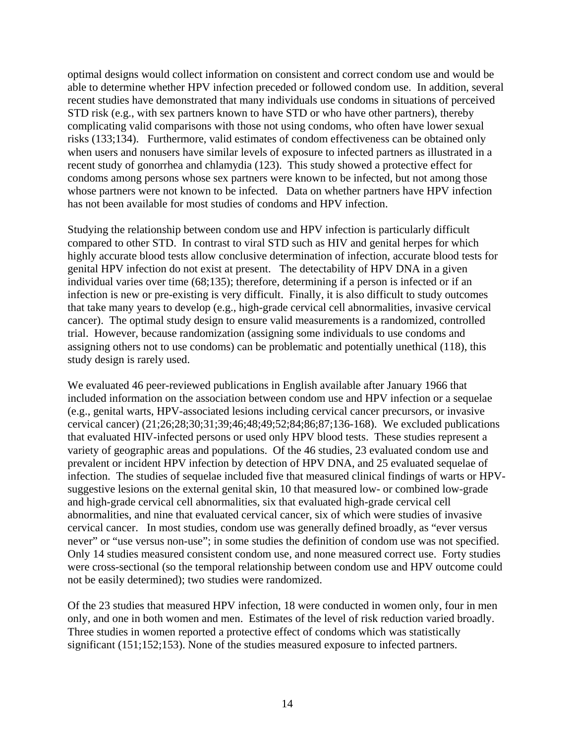optimal designs would collect information on consistent and correct condom use and would be able to determine whether HPV infection preceded or followed condom use. In addition, several recent studies have demonstrated that many individuals use condoms in situations of perceived STD risk (e.g., with sex partners known to have STD or who have other partners), thereby complicating valid comparisons with those not using condoms, who often have lower sexual risks (133;134). Furthermore, valid estimates of condom effectiveness can be obtained only when users and nonusers have similar levels of exposure to infected partners as illustrated in a recent study of gonorrhea and chlamydia (123). This study showed a protective effect for condoms among persons whose sex partners were known to be infected, but not among those whose partners were not known to be infected. Data on whether partners have HPV infection has not been available for most studies of condoms and HPV infection.

Studying the relationship between condom use and HPV infection is particularly difficult compared to other STD. In contrast to viral STD such as HIV and genital herpes for which highly accurate blood tests allow conclusive determination of infection, accurate blood tests for genital HPV infection do not exist at present. The detectability of HPV DNA in a given individual varies over time (68;135); therefore, determining if a person is infected or if an infection is new or pre-existing is very difficult. Finally, it is also difficult to study outcomes that take many years to develop (e.g., high-grade cervical cell abnormalities, invasive cervical cancer). The optimal study design to ensure valid measurements is a randomized, controlled trial. However, because randomization (assigning some individuals to use condoms and assigning others not to use condoms) can be problematic and potentially unethical (118), this study design is rarely used.

We evaluated 46 peer-reviewed publications in English available after January 1966 that included information on the association between condom use and HPV infection or a sequelae (e.g., genital warts, HPV-associated lesions including cervical cancer precursors, or invasive cervical cancer) (21;26;28;30;31;39;46;48;49;52;84;86;87;136-168). We excluded publications that evaluated HIV-infected persons or used only HPV blood tests. These studies represent a variety of geographic areas and populations. Of the 46 studies, 23 evaluated condom use and prevalent or incident HPV infection by detection of HPV DNA, and 25 evaluated sequelae of infection. The studies of sequelae included five that measured clinical findings of warts or HPVsuggestive lesions on the external genital skin, 10 that measured low- or combined low-grade and high-grade cervical cell abnormalities, six that evaluated high-grade cervical cell abnormalities, and nine that evaluated cervical cancer, six of which were studies of invasive cervical cancer. In most studies, condom use was generally defined broadly, as "ever versus never" or "use versus non-use"; in some studies the definition of condom use was not specified. Only 14 studies measured consistent condom use, and none measured correct use. Forty studies were cross-sectional (so the temporal relationship between condom use and HPV outcome could not be easily determined); two studies were randomized.

Of the 23 studies that measured HPV infection, 18 were conducted in women only, four in men only, and one in both women and men. Estimates of the level of risk reduction varied broadly. Three studies in women reported a protective effect of condoms which was statistically significant (151;152;153). None of the studies measured exposure to infected partners.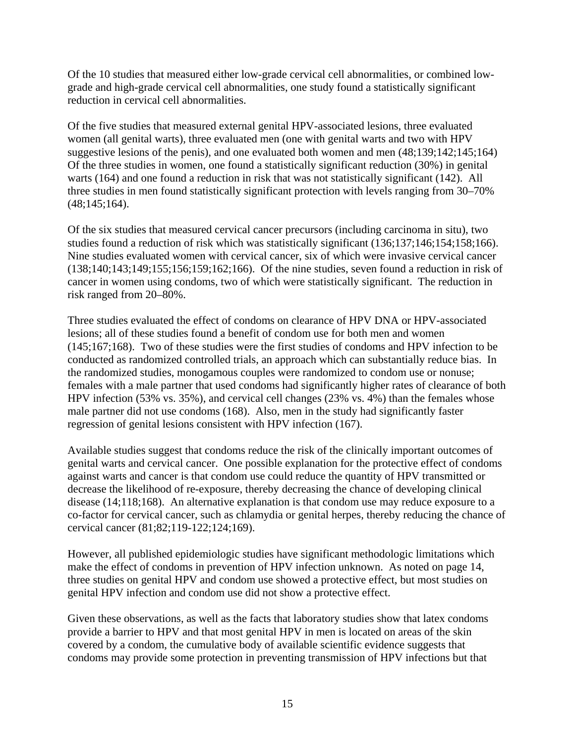Of the 10 studies that measured either low-grade cervical cell abnormalities, or combined lowgrade and high-grade cervical cell abnormalities, one study found a statistically significant reduction in cervical cell abnormalities.

Of the five studies that measured external genital HPV-associated lesions, three evaluated women (all genital warts), three evaluated men (one with genital warts and two with HPV suggestive lesions of the penis), and one evaluated both women and men (48;139;142;145;164) Of the three studies in women, one found a statistically significant reduction (30%) in genital warts (164) and one found a reduction in risk that was not statistically significant (142). All three studies in men found statistically significant protection with levels ranging from 30–70% (48;145;164).

Of the six studies that measured cervical cancer precursors (including carcinoma in situ), two studies found a reduction of risk which was statistically significant (136;137;146;154;158;166). Nine studies evaluated women with cervical cancer, six of which were invasive cervical cancer (138;140;143;149;155;156;159;162;166). Of the nine studies, seven found a reduction in risk of cancer in women using condoms, two of which were statistically significant. The reduction in risk ranged from 20–80%.

Three studies evaluated the effect of condoms on clearance of HPV DNA or HPV-associated lesions; all of these studies found a benefit of condom use for both men and women (145;167;168). Two of these studies were the first studies of condoms and HPV infection to be conducted as randomized controlled trials, an approach which can substantially reduce bias. In the randomized studies, monogamous couples were randomized to condom use or nonuse; females with a male partner that used condoms had significantly higher rates of clearance of both HPV infection (53% vs. 35%), and cervical cell changes (23% vs. 4%) than the females whose male partner did not use condoms (168). Also, men in the study had significantly faster regression of genital lesions consistent with HPV infection (167).

Available studies suggest that condoms reduce the risk of the clinically important outcomes of genital warts and cervical cancer. One possible explanation for the protective effect of condoms against warts and cancer is that condom use could reduce the quantity of HPV transmitted or decrease the likelihood of re-exposure, thereby decreasing the chance of developing clinical disease (14;118;168). An alternative explanation is that condom use may reduce exposure to a co-factor for cervical cancer, such as chlamydia or genital herpes, thereby reducing the chance of cervical cancer (81;82;119-122;124;169).

However, all published epidemiologic studies have significant methodologic limitations which make the effect of condoms in prevention of HPV infection unknown. As noted on page 14, three studies on genital HPV and condom use showed a protective effect, but most studies on genital HPV infection and condom use did not show a protective effect.

Given these observations, as well as the facts that laboratory studies show that latex condoms provide a barrier to HPV and that most genital HPV in men is located on areas of the skin covered by a condom, the cumulative body of available scientific evidence suggests that condoms may provide some protection in preventing transmission of HPV infections but that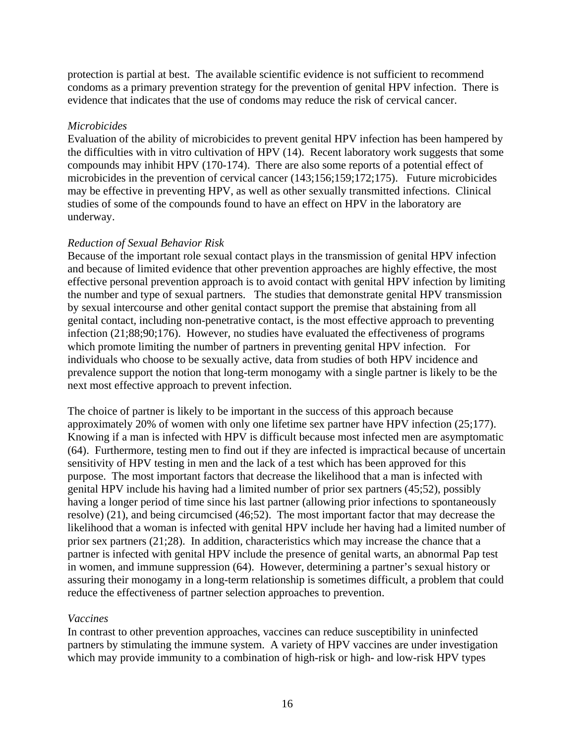protection is partial at best. The available scientific evidence is not sufficient to recommend condoms as a primary prevention strategy for the prevention of genital HPV infection. There is evidence that indicates that the use of condoms may reduce the risk of cervical cancer.

### *Microbicides*

Evaluation of the ability of microbicides to prevent genital HPV infection has been hampered by the difficulties with in vitro cultivation of HPV (14). Recent laboratory work suggests that some compounds may inhibit HPV (170-174). There are also some reports of a potential effect of microbicides in the prevention of cervical cancer (143;156;159;172;175). Future microbicides may be effective in preventing HPV, as well as other sexually transmitted infections. Clinical studies of some of the compounds found to have an effect on HPV in the laboratory are underway.

### *Reduction of Sexual Behavior Risk*

Because of the important role sexual contact plays in the transmission of genital HPV infection and because of limited evidence that other prevention approaches are highly effective, the most effective personal prevention approach is to avoid contact with genital HPV infection by limiting the number and type of sexual partners. The studies that demonstrate genital HPV transmission by sexual intercourse and other genital contact support the premise that abstaining from all genital contact, including non-penetrative contact, is the most effective approach to preventing infection (21;88;90;176). However, no studies have evaluated the effectiveness of programs which promote limiting the number of partners in preventing genital HPV infection. For individuals who choose to be sexually active, data from studies of both HPV incidence and prevalence support the notion that long-term monogamy with a single partner is likely to be the next most effective approach to prevent infection.

The choice of partner is likely to be important in the success of this approach because approximately 20% of women with only one lifetime sex partner have HPV infection (25;177). Knowing if a man is infected with HPV is difficult because most infected men are asymptomatic (64). Furthermore, testing men to find out if they are infected is impractical because of uncertain sensitivity of HPV testing in men and the lack of a test which has been approved for this purpose. The most important factors that decrease the likelihood that a man is infected with genital HPV include his having had a limited number of prior sex partners (45;52), possibly having a longer period of time since his last partner (allowing prior infections to spontaneously resolve) (21), and being circumcised (46;52). The most important factor that may decrease the likelihood that a woman is infected with genital HPV include her having had a limited number of prior sex partners (21;28). In addition, characteristics which may increase the chance that a partner is infected with genital HPV include the presence of genital warts, an abnormal Pap test in women, and immune suppression (64). However, determining a partner's sexual history or assuring their monogamy in a long-term relationship is sometimes difficult, a problem that could reduce the effectiveness of partner selection approaches to prevention.

#### *Vaccines*

In contrast to other prevention approaches, vaccines can reduce susceptibility in uninfected partners by stimulating the immune system. A variety of HPV vaccines are under investigation which may provide immunity to a combination of high-risk or high- and low-risk HPV types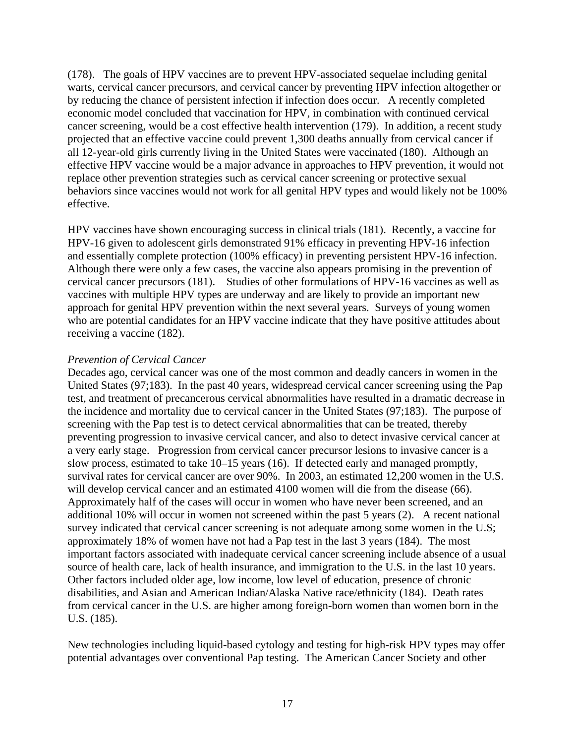(178). The goals of HPV vaccines are to prevent HPV-associated sequelae including genital warts, cervical cancer precursors, and cervical cancer by preventing HPV infection altogether or by reducing the chance of persistent infection if infection does occur. A recently completed economic model concluded that vaccination for HPV, in combination with continued cervical cancer screening, would be a cost effective health intervention (179). In addition, a recent study projected that an effective vaccine could prevent 1,300 deaths annually from cervical cancer if all 12-year-old girls currently living in the United States were vaccinated (180). Although an effective HPV vaccine would be a major advance in approaches to HPV prevention, it would not replace other prevention strategies such as cervical cancer screening or protective sexual behaviors since vaccines would not work for all genital HPV types and would likely not be 100% effective.

HPV vaccines have shown encouraging success in clinical trials (181). Recently, a vaccine for HPV-16 given to adolescent girls demonstrated 91% efficacy in preventing HPV-16 infection and essentially complete protection (100% efficacy) in preventing persistent HPV-16 infection. Although there were only a few cases, the vaccine also appears promising in the prevention of cervical cancer precursors (181). Studies of other formulations of HPV-16 vaccines as well as vaccines with multiple HPV types are underway and are likely to provide an important new approach for genital HPV prevention within the next several years. Surveys of young women who are potential candidates for an HPV vaccine indicate that they have positive attitudes about receiving a vaccine (182).

#### *Prevention of Cervical Cancer*

Decades ago, cervical cancer was one of the most common and deadly cancers in women in the United States (97;183). In the past 40 years, widespread cervical cancer screening using the Pap test, and treatment of precancerous cervical abnormalities have resulted in a dramatic decrease in the incidence and mortality due to cervical cancer in the United States (97;183). The purpose of screening with the Pap test is to detect cervical abnormalities that can be treated, thereby preventing progression to invasive cervical cancer, and also to detect invasive cervical cancer at a very early stage. Progression from cervical cancer precursor lesions to invasive cancer is a slow process, estimated to take 10–15 years (16). If detected early and managed promptly, survival rates for cervical cancer are over 90%. In 2003, an estimated 12,200 women in the U.S. will develop cervical cancer and an estimated 4100 women will die from the disease (66). Approximately half of the cases will occur in women who have never been screened, and an additional 10% will occur in women not screened within the past 5 years (2). A recent national survey indicated that cervical cancer screening is not adequate among some women in the U.S; approximately 18% of women have not had a Pap test in the last 3 years (184). The most important factors associated with inadequate cervical cancer screening include absence of a usual source of health care, lack of health insurance, and immigration to the U.S. in the last 10 years. Other factors included older age, low income, low level of education, presence of chronic disabilities, and Asian and American Indian/Alaska Native race/ethnicity (184). Death rates from cervical cancer in the U.S. are higher among foreign-born women than women born in the U.S. (185).

New technologies including liquid-based cytology and testing for high-risk HPV types may offer potential advantages over conventional Pap testing. The American Cancer Society and other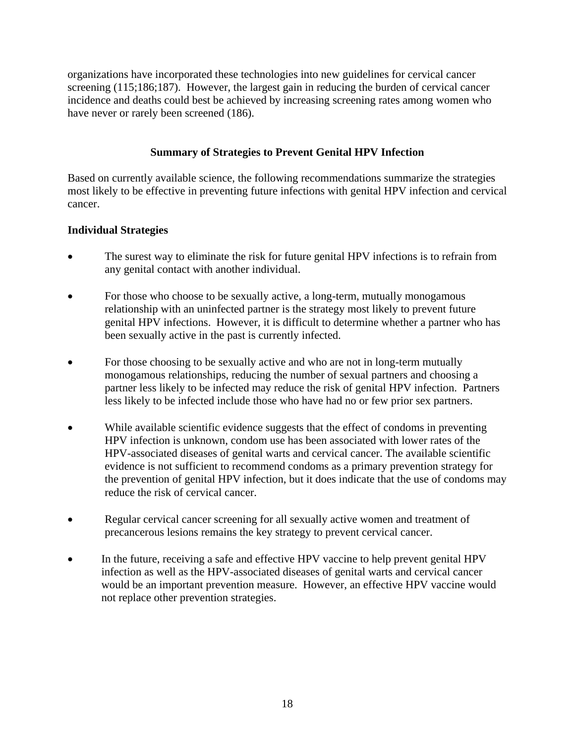organizations have incorporated these technologies into new guidelines for cervical cancer screening (115;186;187). However, the largest gain in reducing the burden of cervical cancer incidence and deaths could best be achieved by increasing screening rates among women who have never or rarely been screened (186).

## **Summary of Strategies to Prevent Genital HPV Infection**

Based on currently available science, the following recommendations summarize the strategies most likely to be effective in preventing future infections with genital HPV infection and cervical cancer.

## **Individual Strategies**

- The surest way to eliminate the risk for future genital HPV infections is to refrain from any genital contact with another individual.
- For those who choose to be sexually active, a long-term, mutually monogamous relationship with an uninfected partner is the strategy most likely to prevent future genital HPV infections. However, it is difficult to determine whether a partner who has been sexually active in the past is currently infected.
- For those choosing to be sexually active and who are not in long-term mutually monogamous relationships, reducing the number of sexual partners and choosing a partner less likely to be infected may reduce the risk of genital HPV infection. Partners less likely to be infected include those who have had no or few prior sex partners.
- While available scientific evidence suggests that the effect of condoms in preventing HPV infection is unknown, condom use has been associated with lower rates of the HPV-associated diseases of genital warts and cervical cancer. The available scientific evidence is not sufficient to recommend condoms as a primary prevention strategy for the prevention of genital HPV infection, but it does indicate that the use of condoms may reduce the risk of cervical cancer.
- Regular cervical cancer screening for all sexually active women and treatment of precancerous lesions remains the key strategy to prevent cervical cancer.
- In the future, receiving a safe and effective HPV vaccine to help prevent genital HPV infection as well as the HPV-associated diseases of genital warts and cervical cancer would be an important prevention measure. However, an effective HPV vaccine would not replace other prevention strategies.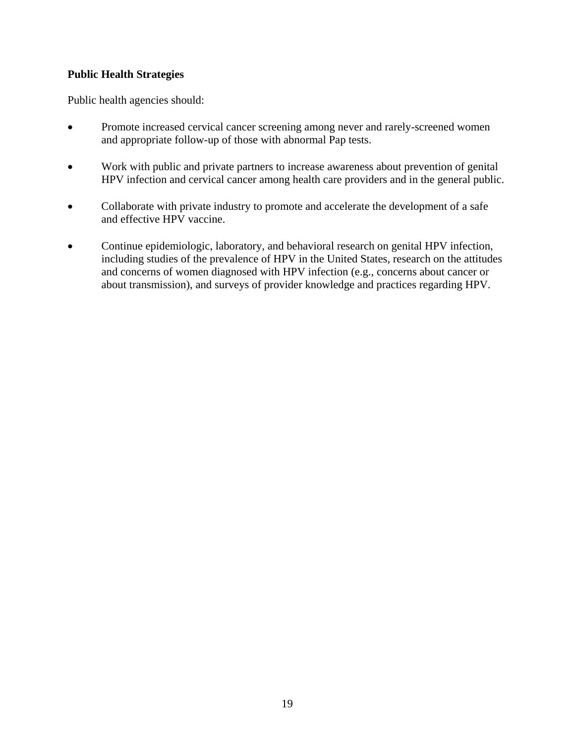## **Public Health Strategies**

Public health agencies should:

- Promote increased cervical cancer screening among never and rarely-screened women and appropriate follow-up of those with abnormal Pap tests.
- Work with public and private partners to increase awareness about prevention of genital HPV infection and cervical cancer among health care providers and in the general public.
- Collaborate with private industry to promote and accelerate the development of a safe and effective HPV vaccine.
- Continue epidemiologic, laboratory, and behavioral research on genital HPV infection, including studies of the prevalence of HPV in the United States, research on the attitudes and concerns of women diagnosed with HPV infection (e.g., concerns about cancer or about transmission), and surveys of provider knowledge and practices regarding HPV.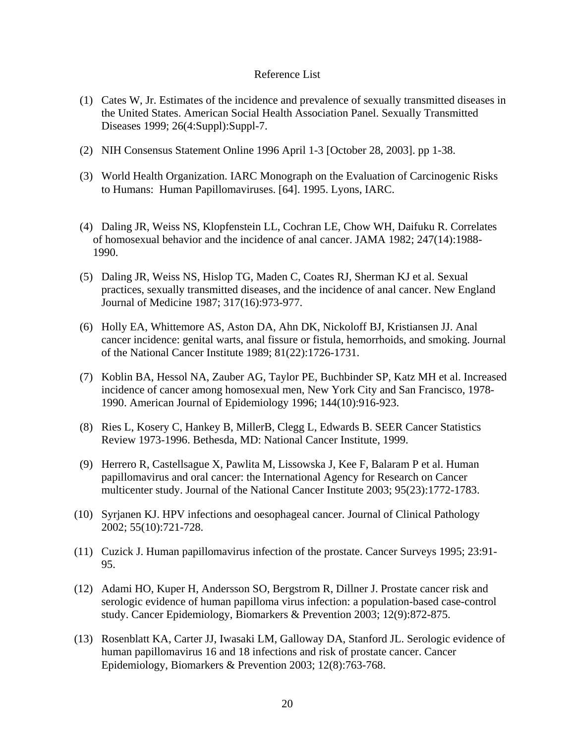#### Reference List

- (1) Cates W, Jr. Estimates of the incidence and prevalence of sexually transmitted diseases in the United States. American Social Health Association Panel. Sexually Transmitted Diseases 1999; 26(4:Suppl):Suppl-7.
- (2) NIH Consensus Statement Online 1996 April 1-3 [October 28, 2003]. pp 1-38.
- (3) World Health Organization. IARC Monograph on the Evaluation of Carcinogenic Risks to Humans: Human Papillomaviruses. [64]. 1995. Lyons, IARC.
- (4) Daling JR, Weiss NS, Klopfenstein LL, Cochran LE, Chow WH, Daifuku R. Correlates of homosexual behavior and the incidence of anal cancer. JAMA 1982; 247(14):1988- 1990.
- (5) Daling JR, Weiss NS, Hislop TG, Maden C, Coates RJ, Sherman KJ et al. Sexual practices, sexually transmitted diseases, and the incidence of anal cancer. New England Journal of Medicine 1987; 317(16):973-977.
- (6) Holly EA, Whittemore AS, Aston DA, Ahn DK, Nickoloff BJ, Kristiansen JJ. Anal cancer incidence: genital warts, anal fissure or fistula, hemorrhoids, and smoking. Journal of the National Cancer Institute 1989; 81(22):1726-1731.
- (7) Koblin BA, Hessol NA, Zauber AG, Taylor PE, Buchbinder SP, Katz MH et al. Increased incidence of cancer among homosexual men, New York City and San Francisco, 1978- 1990. American Journal of Epidemiology 1996; 144(10):916-923.
- (8) Ries L, Kosery C, Hankey B, MillerB, Clegg L, Edwards B. SEER Cancer Statistics Review 1973-1996. Bethesda, MD: National Cancer Institute, 1999.
- (9) Herrero R, Castellsague X, Pawlita M, Lissowska J, Kee F, Balaram P et al. Human papillomavirus and oral cancer: the International Agency for Research on Cancer multicenter study. Journal of the National Cancer Institute 2003; 95(23):1772-1783.
- (10) Syrjanen KJ. HPV infections and oesophageal cancer. Journal of Clinical Pathology 2002; 55(10):721-728.
- (11) Cuzick J. Human papillomavirus infection of the prostate. Cancer Surveys 1995; 23:91- 95.
- (12) Adami HO, Kuper H, Andersson SO, Bergstrom R, Dillner J. Prostate cancer risk and serologic evidence of human papilloma virus infection: a population-based case-control study. Cancer Epidemiology, Biomarkers & Prevention 2003; 12(9):872-875.
- (13) Rosenblatt KA, Carter JJ, Iwasaki LM, Galloway DA, Stanford JL. Serologic evidence of human papillomavirus 16 and 18 infections and risk of prostate cancer. Cancer Epidemiology, Biomarkers & Prevention 2003; 12(8):763-768.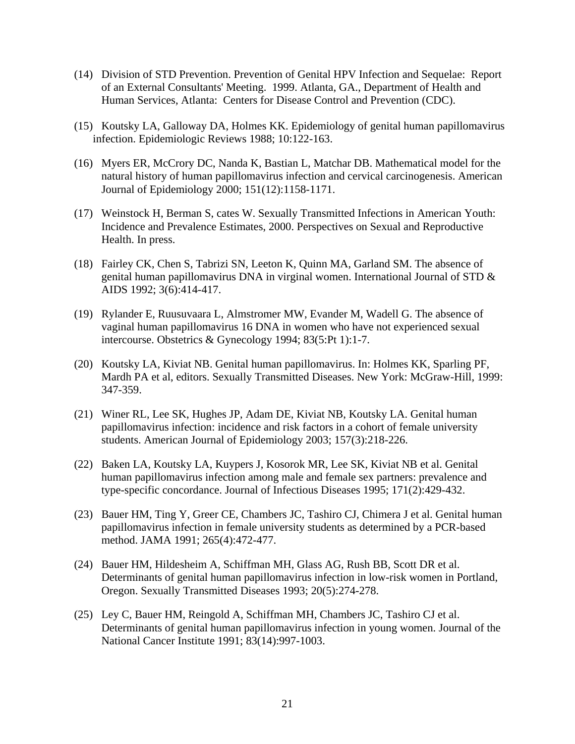- (14) Division of STD Prevention. Prevention of Genital HPV Infection and Sequelae: Report of an External Consultants' Meeting. 1999. Atlanta, GA., Department of Health and Human Services, Atlanta: Centers for Disease Control and Prevention (CDC).
- (15) Koutsky LA, Galloway DA, Holmes KK. Epidemiology of genital human papillomavirus infection. Epidemiologic Reviews 1988; 10:122-163.
- (16) Myers ER, McCrory DC, Nanda K, Bastian L, Matchar DB. Mathematical model for the natural history of human papillomavirus infection and cervical carcinogenesis. American Journal of Epidemiology 2000; 151(12):1158-1171.
- (17) Weinstock H, Berman S, cates W. Sexually Transmitted Infections in American Youth: Incidence and Prevalence Estimates, 2000. Perspectives on Sexual and Reproductive Health. In press.
- (18) Fairley CK, Chen S, Tabrizi SN, Leeton K, Quinn MA, Garland SM. The absence of genital human papillomavirus DNA in virginal women. International Journal of STD & AIDS 1992; 3(6):414-417.
- (19) Rylander E, Ruusuvaara L, Almstromer MW, Evander M, Wadell G. The absence of vaginal human papillomavirus 16 DNA in women who have not experienced sexual intercourse. Obstetrics & Gynecology 1994; 83(5:Pt 1):1-7.
- (20) Koutsky LA, Kiviat NB. Genital human papillomavirus. In: Holmes KK, Sparling PF, Mardh PA et al, editors. Sexually Transmitted Diseases. New York: McGraw-Hill, 1999: 347-359.
- (21) Winer RL, Lee SK, Hughes JP, Adam DE, Kiviat NB, Koutsky LA. Genital human papillomavirus infection: incidence and risk factors in a cohort of female university students. American Journal of Epidemiology 2003; 157(3):218-226.
- (22) Baken LA, Koutsky LA, Kuypers J, Kosorok MR, Lee SK, Kiviat NB et al. Genital human papillomavirus infection among male and female sex partners: prevalence and type-specific concordance. Journal of Infectious Diseases 1995; 171(2):429-432.
- (23) Bauer HM, Ting Y, Greer CE, Chambers JC, Tashiro CJ, Chimera J et al. Genital human papillomavirus infection in female university students as determined by a PCR-based method. JAMA 1991; 265(4):472-477.
- (24) Bauer HM, Hildesheim A, Schiffman MH, Glass AG, Rush BB, Scott DR et al. Determinants of genital human papillomavirus infection in low-risk women in Portland, Oregon. Sexually Transmitted Diseases 1993; 20(5):274-278.
- (25) Ley C, Bauer HM, Reingold A, Schiffman MH, Chambers JC, Tashiro CJ et al. Determinants of genital human papillomavirus infection in young women. Journal of the National Cancer Institute 1991; 83(14):997-1003.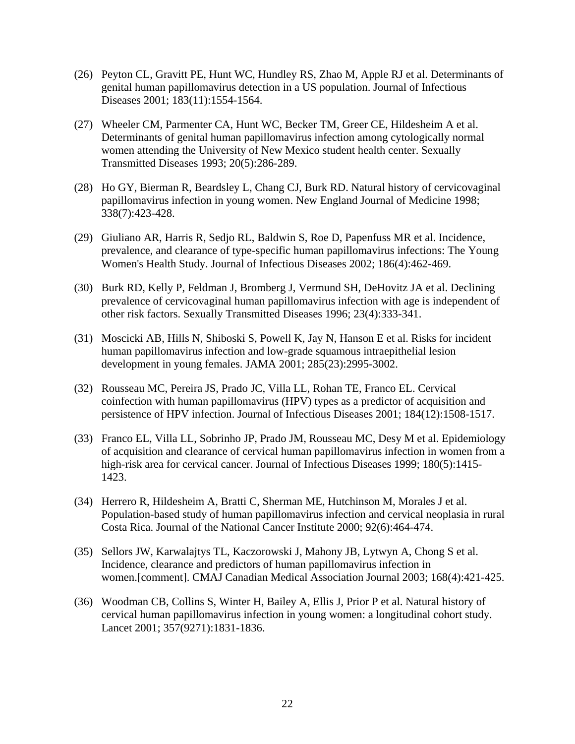- (26) Peyton CL, Gravitt PE, Hunt WC, Hundley RS, Zhao M, Apple RJ et al. Determinants of genital human papillomavirus detection in a US population. Journal of Infectious Diseases 2001; 183(11):1554-1564.
- (27) Wheeler CM, Parmenter CA, Hunt WC, Becker TM, Greer CE, Hildesheim A et al. Determinants of genital human papillomavirus infection among cytologically normal women attending the University of New Mexico student health center. Sexually Transmitted Diseases 1993; 20(5):286-289.
- (28) Ho GY, Bierman R, Beardsley L, Chang CJ, Burk RD. Natural history of cervicovaginal papillomavirus infection in young women. New England Journal of Medicine 1998; 338(7):423-428.
- (29) Giuliano AR, Harris R, Sedjo RL, Baldwin S, Roe D, Papenfuss MR et al. Incidence, prevalence, and clearance of type-specific human papillomavirus infections: The Young Women's Health Study. Journal of Infectious Diseases 2002; 186(4):462-469.
- (30) Burk RD, Kelly P, Feldman J, Bromberg J, Vermund SH, DeHovitz JA et al. Declining prevalence of cervicovaginal human papillomavirus infection with age is independent of other risk factors. Sexually Transmitted Diseases 1996; 23(4):333-341.
- (31) Moscicki AB, Hills N, Shiboski S, Powell K, Jay N, Hanson E et al. Risks for incident human papillomavirus infection and low-grade squamous intraepithelial lesion development in young females. JAMA 2001; 285(23):2995-3002.
- (32) Rousseau MC, Pereira JS, Prado JC, Villa LL, Rohan TE, Franco EL. Cervical coinfection with human papillomavirus (HPV) types as a predictor of acquisition and persistence of HPV infection. Journal of Infectious Diseases 2001; 184(12):1508-1517.
- (33) Franco EL, Villa LL, Sobrinho JP, Prado JM, Rousseau MC, Desy M et al. Epidemiology of acquisition and clearance of cervical human papillomavirus infection in women from a high-risk area for cervical cancer. Journal of Infectious Diseases 1999; 180(5):1415- 1423.
- (34) Herrero R, Hildesheim A, Bratti C, Sherman ME, Hutchinson M, Morales J et al. Population-based study of human papillomavirus infection and cervical neoplasia in rural Costa Rica. Journal of the National Cancer Institute 2000; 92(6):464-474.
- (35) Sellors JW, Karwalajtys TL, Kaczorowski J, Mahony JB, Lytwyn A, Chong S et al. Incidence, clearance and predictors of human papillomavirus infection in women.[comment]. CMAJ Canadian Medical Association Journal 2003; 168(4):421-425.
- (36) Woodman CB, Collins S, Winter H, Bailey A, Ellis J, Prior P et al. Natural history of cervical human papillomavirus infection in young women: a longitudinal cohort study. Lancet 2001; 357(9271):1831-1836.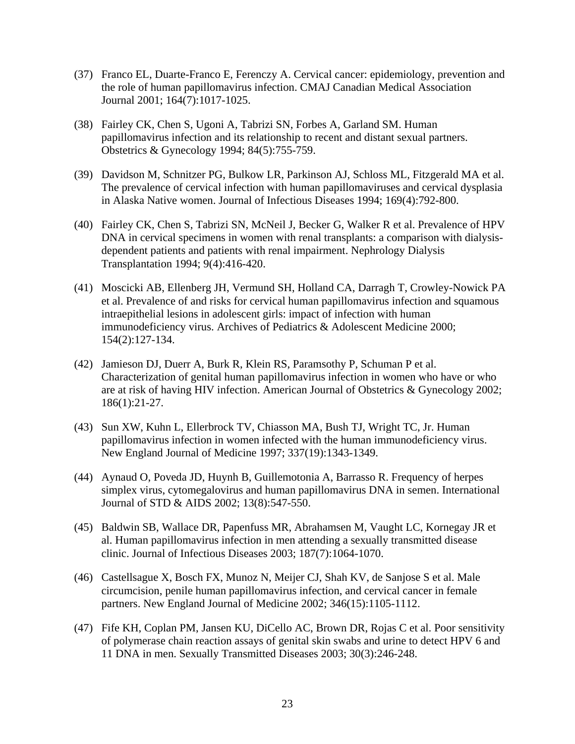- (37) Franco EL, Duarte-Franco E, Ferenczy A. Cervical cancer: epidemiology, prevention and the role of human papillomavirus infection. CMAJ Canadian Medical Association Journal 2001; 164(7):1017-1025.
- (38) Fairley CK, Chen S, Ugoni A, Tabrizi SN, Forbes A, Garland SM. Human papillomavirus infection and its relationship to recent and distant sexual partners. Obstetrics & Gynecology 1994; 84(5):755-759.
- (39) Davidson M, Schnitzer PG, Bulkow LR, Parkinson AJ, Schloss ML, Fitzgerald MA et al. The prevalence of cervical infection with human papillomaviruses and cervical dysplasia in Alaska Native women. Journal of Infectious Diseases 1994; 169(4):792-800.
- (40) Fairley CK, Chen S, Tabrizi SN, McNeil J, Becker G, Walker R et al. Prevalence of HPV DNA in cervical specimens in women with renal transplants: a comparison with dialysisdependent patients and patients with renal impairment. Nephrology Dialysis Transplantation 1994; 9(4):416-420.
- (41) Moscicki AB, Ellenberg JH, Vermund SH, Holland CA, Darragh T, Crowley-Nowick PA et al. Prevalence of and risks for cervical human papillomavirus infection and squamous intraepithelial lesions in adolescent girls: impact of infection with human immunodeficiency virus. Archives of Pediatrics & Adolescent Medicine 2000; 154(2):127-134.
- (42) Jamieson DJ, Duerr A, Burk R, Klein RS, Paramsothy P, Schuman P et al. Characterization of genital human papillomavirus infection in women who have or who are at risk of having HIV infection. American Journal of Obstetrics & Gynecology 2002; 186(1):21-27.
- (43) Sun XW, Kuhn L, Ellerbrock TV, Chiasson MA, Bush TJ, Wright TC, Jr. Human papillomavirus infection in women infected with the human immunodeficiency virus. New England Journal of Medicine 1997; 337(19):1343-1349.
- (44) Aynaud O, Poveda JD, Huynh B, Guillemotonia A, Barrasso R. Frequency of herpes simplex virus, cytomegalovirus and human papillomavirus DNA in semen. International Journal of STD & AIDS 2002; 13(8):547-550.
- (45) Baldwin SB, Wallace DR, Papenfuss MR, Abrahamsen M, Vaught LC, Kornegay JR et al. Human papillomavirus infection in men attending a sexually transmitted disease clinic. Journal of Infectious Diseases 2003; 187(7):1064-1070.
- (46) Castellsague X, Bosch FX, Munoz N, Meijer CJ, Shah KV, de Sanjose S et al. Male circumcision, penile human papillomavirus infection, and cervical cancer in female partners. New England Journal of Medicine 2002; 346(15):1105-1112.
- (47) Fife KH, Coplan PM, Jansen KU, DiCello AC, Brown DR, Rojas C et al. Poor sensitivity of polymerase chain reaction assays of genital skin swabs and urine to detect HPV 6 and 11 DNA in men. Sexually Transmitted Diseases 2003; 30(3):246-248.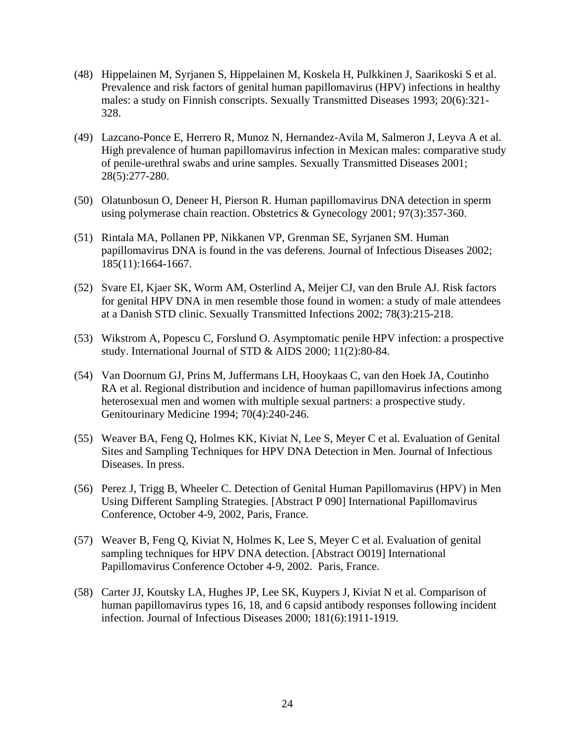- (48) Hippelainen M, Syrjanen S, Hippelainen M, Koskela H, Pulkkinen J, Saarikoski S et al. Prevalence and risk factors of genital human papillomavirus (HPV) infections in healthy males: a study on Finnish conscripts. Sexually Transmitted Diseases 1993; 20(6):321- 328.
- (49) Lazcano-Ponce E, Herrero R, Munoz N, Hernandez-Avila M, Salmeron J, Leyva A et al. High prevalence of human papillomavirus infection in Mexican males: comparative study of penile-urethral swabs and urine samples. Sexually Transmitted Diseases 2001; 28(5):277-280.
- (50) Olatunbosun O, Deneer H, Pierson R. Human papillomavirus DNA detection in sperm using polymerase chain reaction. Obstetrics & Gynecology 2001; 97(3):357-360.
- (51) Rintala MA, Pollanen PP, Nikkanen VP, Grenman SE, Syrjanen SM. Human papillomavirus DNA is found in the vas deferens. Journal of Infectious Diseases 2002; 185(11):1664-1667.
- (52) Svare EI, Kjaer SK, Worm AM, Osterlind A, Meijer CJ, van den Brule AJ. Risk factors for genital HPV DNA in men resemble those found in women: a study of male attendees at a Danish STD clinic. Sexually Transmitted Infections 2002; 78(3):215-218.
- (53) Wikstrom A, Popescu C, Forslund O. Asymptomatic penile HPV infection: a prospective study. International Journal of STD & AIDS 2000; 11(2):80-84.
- (54) Van Doornum GJ, Prins M, Juffermans LH, Hooykaas C, van den Hoek JA, Coutinho RA et al. Regional distribution and incidence of human papillomavirus infections among heterosexual men and women with multiple sexual partners: a prospective study. Genitourinary Medicine 1994; 70(4):240-246.
- (55) Weaver BA, Feng Q, Holmes KK, Kiviat N, Lee S, Meyer C et al. Evaluation of Genital Sites and Sampling Techniques for HPV DNA Detection in Men. Journal of Infectious Diseases. In press.
- (56) Perez J, Trigg B, Wheeler C. Detection of Genital Human Papillomavirus (HPV) in Men Using Different Sampling Strategies. [Abstract P 090] International Papillomavirus Conference, October 4-9, 2002, Paris, France.
- (57) Weaver B, Feng Q, Kiviat N, Holmes K, Lee S, Meyer C et al. Evaluation of genital sampling techniques for HPV DNA detection. [Abstract O019] International Papillomavirus Conference October 4-9, 2002. Paris, France.
- (58) Carter JJ, Koutsky LA, Hughes JP, Lee SK, Kuypers J, Kiviat N et al. Comparison of human papillomavirus types 16, 18, and 6 capsid antibody responses following incident infection. Journal of Infectious Diseases 2000; 181(6):1911-1919.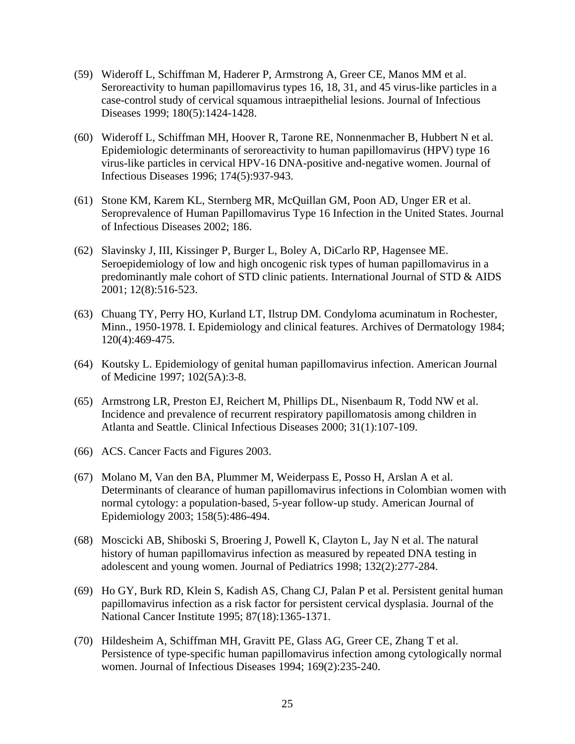- (59) Wideroff L, Schiffman M, Haderer P, Armstrong A, Greer CE, Manos MM et al. Seroreactivity to human papillomavirus types 16, 18, 31, and 45 virus-like particles in a case-control study of cervical squamous intraepithelial lesions. Journal of Infectious Diseases 1999; 180(5):1424-1428.
- (60) Wideroff L, Schiffman MH, Hoover R, Tarone RE, Nonnenmacher B, Hubbert N et al. Epidemiologic determinants of seroreactivity to human papillomavirus (HPV) type 16 virus-like particles in cervical HPV-16 DNA-positive and-negative women. Journal of Infectious Diseases 1996; 174(5):937-943.
- (61) Stone KM, Karem KL, Sternberg MR, McQuillan GM, Poon AD, Unger ER et al. Seroprevalence of Human Papillomavirus Type 16 Infection in the United States. Journal of Infectious Diseases 2002; 186.
- (62) Slavinsky J, III, Kissinger P, Burger L, Boley A, DiCarlo RP, Hagensee ME. Seroepidemiology of low and high oncogenic risk types of human papillomavirus in a predominantly male cohort of STD clinic patients. International Journal of STD & AIDS 2001; 12(8):516-523.
- (63) Chuang TY, Perry HO, Kurland LT, Ilstrup DM. Condyloma acuminatum in Rochester, Minn., 1950-1978. I. Epidemiology and clinical features. Archives of Dermatology 1984; 120(4):469-475.
- (64) Koutsky L. Epidemiology of genital human papillomavirus infection. American Journal of Medicine 1997; 102(5A):3-8.
- (65) Armstrong LR, Preston EJ, Reichert M, Phillips DL, Nisenbaum R, Todd NW et al. Incidence and prevalence of recurrent respiratory papillomatosis among children in Atlanta and Seattle. Clinical Infectious Diseases 2000; 31(1):107-109.
- (66) ACS. Cancer Facts and Figures 2003.
- (67) Molano M, Van den BA, Plummer M, Weiderpass E, Posso H, Arslan A et al. Determinants of clearance of human papillomavirus infections in Colombian women with normal cytology: a population-based, 5-year follow-up study. American Journal of Epidemiology 2003; 158(5):486-494.
- (68) Moscicki AB, Shiboski S, Broering J, Powell K, Clayton L, Jay N et al. The natural history of human papillomavirus infection as measured by repeated DNA testing in adolescent and young women. Journal of Pediatrics 1998; 132(2):277-284.
- (69) Ho GY, Burk RD, Klein S, Kadish AS, Chang CJ, Palan P et al. Persistent genital human papillomavirus infection as a risk factor for persistent cervical dysplasia. Journal of the National Cancer Institute 1995; 87(18):1365-1371.
- (70) Hildesheim A, Schiffman MH, Gravitt PE, Glass AG, Greer CE, Zhang T et al. Persistence of type-specific human papillomavirus infection among cytologically normal women. Journal of Infectious Diseases 1994; 169(2):235-240.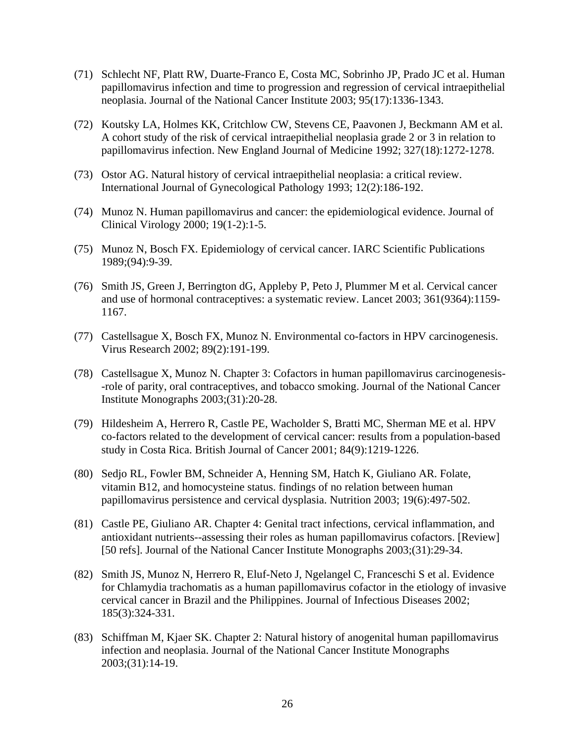- (71) Schlecht NF, Platt RW, Duarte-Franco E, Costa MC, Sobrinho JP, Prado JC et al. Human papillomavirus infection and time to progression and regression of cervical intraepithelial neoplasia. Journal of the National Cancer Institute 2003; 95(17):1336-1343.
- (72) Koutsky LA, Holmes KK, Critchlow CW, Stevens CE, Paavonen J, Beckmann AM et al. A cohort study of the risk of cervical intraepithelial neoplasia grade 2 or 3 in relation to papillomavirus infection. New England Journal of Medicine 1992; 327(18):1272-1278.
- (73) Ostor AG. Natural history of cervical intraepithelial neoplasia: a critical review. International Journal of Gynecological Pathology 1993; 12(2):186-192.
- (74) Munoz N. Human papillomavirus and cancer: the epidemiological evidence. Journal of Clinical Virology 2000; 19(1-2):1-5.
- (75) Munoz N, Bosch FX. Epidemiology of cervical cancer. IARC Scientific Publications 1989;(94):9-39.
- (76) Smith JS, Green J, Berrington dG, Appleby P, Peto J, Plummer M et al. Cervical cancer and use of hormonal contraceptives: a systematic review. Lancet 2003; 361(9364):1159- 1167.
- (77) Castellsague X, Bosch FX, Munoz N. Environmental co-factors in HPV carcinogenesis. Virus Research 2002; 89(2):191-199.
- (78) Castellsague X, Munoz N. Chapter 3: Cofactors in human papillomavirus carcinogenesis- -role of parity, oral contraceptives, and tobacco smoking. Journal of the National Cancer Institute Monographs 2003;(31):20-28.
- (79) Hildesheim A, Herrero R, Castle PE, Wacholder S, Bratti MC, Sherman ME et al. HPV co-factors related to the development of cervical cancer: results from a population-based study in Costa Rica. British Journal of Cancer 2001; 84(9):1219-1226.
- (80) Sedjo RL, Fowler BM, Schneider A, Henning SM, Hatch K, Giuliano AR. Folate, vitamin B12, and homocysteine status. findings of no relation between human papillomavirus persistence and cervical dysplasia. Nutrition 2003; 19(6):497-502.
- (81) Castle PE, Giuliano AR. Chapter 4: Genital tract infections, cervical inflammation, and antioxidant nutrients--assessing their roles as human papillomavirus cofactors. [Review] [50 refs]. Journal of the National Cancer Institute Monographs 2003;(31):29-34.
- (82) Smith JS, Munoz N, Herrero R, Eluf-Neto J, Ngelangel C, Franceschi S et al. Evidence for Chlamydia trachomatis as a human papillomavirus cofactor in the etiology of invasive cervical cancer in Brazil and the Philippines. Journal of Infectious Diseases 2002; 185(3):324-331.
- (83) Schiffman M, Kjaer SK. Chapter 2: Natural history of anogenital human papillomavirus infection and neoplasia. Journal of the National Cancer Institute Monographs 2003;(31):14-19.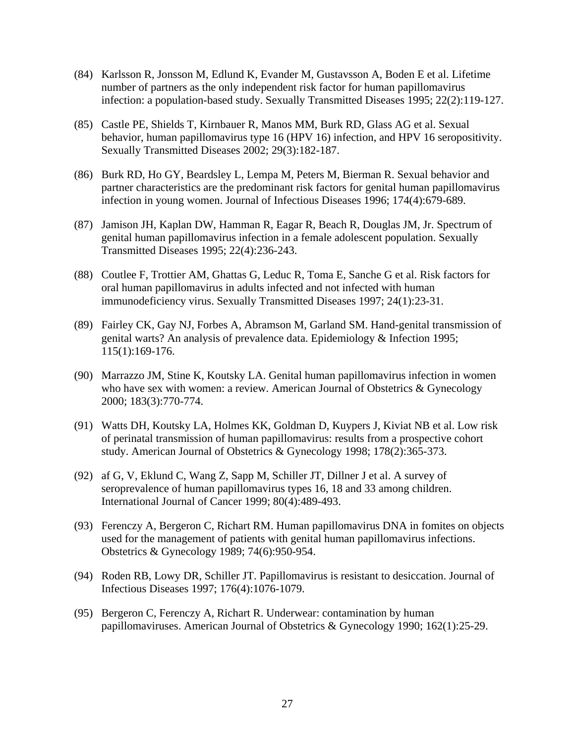- (84) Karlsson R, Jonsson M, Edlund K, Evander M, Gustavsson A, Boden E et al. Lifetime number of partners as the only independent risk factor for human papillomavirus infection: a population-based study. Sexually Transmitted Diseases 1995; 22(2):119-127.
- (85) Castle PE, Shields T, Kirnbauer R, Manos MM, Burk RD, Glass AG et al. Sexual behavior, human papillomavirus type 16 (HPV 16) infection, and HPV 16 seropositivity. Sexually Transmitted Diseases 2002; 29(3):182-187.
- (86) Burk RD, Ho GY, Beardsley L, Lempa M, Peters M, Bierman R. Sexual behavior and partner characteristics are the predominant risk factors for genital human papillomavirus infection in young women. Journal of Infectious Diseases 1996; 174(4):679-689.
- (87) Jamison JH, Kaplan DW, Hamman R, Eagar R, Beach R, Douglas JM, Jr. Spectrum of genital human papillomavirus infection in a female adolescent population. Sexually Transmitted Diseases 1995; 22(4):236-243.
- (88) Coutlee F, Trottier AM, Ghattas G, Leduc R, Toma E, Sanche G et al. Risk factors for oral human papillomavirus in adults infected and not infected with human immunodeficiency virus. Sexually Transmitted Diseases 1997; 24(1):23-31.
- (89) Fairley CK, Gay NJ, Forbes A, Abramson M, Garland SM. Hand-genital transmission of genital warts? An analysis of prevalence data. Epidemiology & Infection 1995; 115(1):169-176.
- (90) Marrazzo JM, Stine K, Koutsky LA. Genital human papillomavirus infection in women who have sex with women: a review. American Journal of Obstetrics & Gynecology 2000; 183(3):770-774.
- (91) Watts DH, Koutsky LA, Holmes KK, Goldman D, Kuypers J, Kiviat NB et al. Low risk of perinatal transmission of human papillomavirus: results from a prospective cohort study. American Journal of Obstetrics & Gynecology 1998; 178(2):365-373.
- (92) af G, V, Eklund C, Wang Z, Sapp M, Schiller JT, Dillner J et al. A survey of seroprevalence of human papillomavirus types 16, 18 and 33 among children. International Journal of Cancer 1999; 80(4):489-493.
- (93) Ferenczy A, Bergeron C, Richart RM. Human papillomavirus DNA in fomites on objects used for the management of patients with genital human papillomavirus infections. Obstetrics & Gynecology 1989; 74(6):950-954.
- (94) Roden RB, Lowy DR, Schiller JT. Papillomavirus is resistant to desiccation. Journal of Infectious Diseases 1997; 176(4):1076-1079.
- (95) Bergeron C, Ferenczy A, Richart R. Underwear: contamination by human papillomaviruses. American Journal of Obstetrics & Gynecology 1990; 162(1):25-29.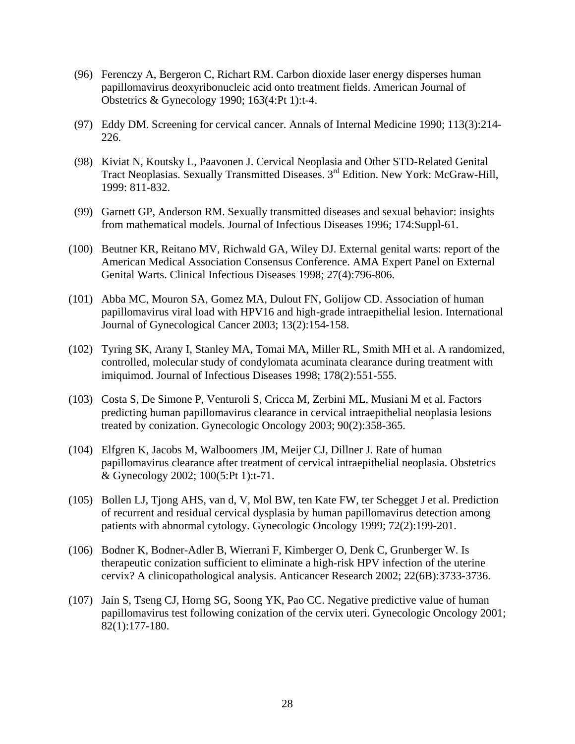- (96) Ferenczy A, Bergeron C, Richart RM. Carbon dioxide laser energy disperses human papillomavirus deoxyribonucleic acid onto treatment fields. American Journal of Obstetrics & Gynecology 1990; 163(4:Pt 1):t-4.
- (97) Eddy DM. Screening for cervical cancer. Annals of Internal Medicine 1990; 113(3):214- 226.
- (98) Kiviat N, Koutsky L, Paavonen J. Cervical Neoplasia and Other STD-Related Genital Tract Neoplasias. Sexually Transmitted Diseases. 3rd Edition. New York: McGraw-Hill, 1999: 811-832.
- (99) Garnett GP, Anderson RM. Sexually transmitted diseases and sexual behavior: insights from mathematical models. Journal of Infectious Diseases 1996; 174:Suppl-61.
- (100) Beutner KR, Reitano MV, Richwald GA, Wiley DJ. External genital warts: report of the American Medical Association Consensus Conference. AMA Expert Panel on External Genital Warts. Clinical Infectious Diseases 1998; 27(4):796-806.
- (101) Abba MC, Mouron SA, Gomez MA, Dulout FN, Golijow CD. Association of human papillomavirus viral load with HPV16 and high-grade intraepithelial lesion. International Journal of Gynecological Cancer 2003; 13(2):154-158.
- (102) Tyring SK, Arany I, Stanley MA, Tomai MA, Miller RL, Smith MH et al. A randomized, controlled, molecular study of condylomata acuminata clearance during treatment with imiquimod. Journal of Infectious Diseases 1998; 178(2):551-555.
- (103) Costa S, De Simone P, Venturoli S, Cricca M, Zerbini ML, Musiani M et al. Factors predicting human papillomavirus clearance in cervical intraepithelial neoplasia lesions treated by conization. Gynecologic Oncology 2003; 90(2):358-365.
- (104) Elfgren K, Jacobs M, Walboomers JM, Meijer CJ, Dillner J. Rate of human papillomavirus clearance after treatment of cervical intraepithelial neoplasia. Obstetrics & Gynecology 2002; 100(5:Pt 1):t-71.
- (105) Bollen LJ, Tjong AHS, van d, V, Mol BW, ten Kate FW, ter Schegget J et al. Prediction of recurrent and residual cervical dysplasia by human papillomavirus detection among patients with abnormal cytology. Gynecologic Oncology 1999; 72(2):199-201.
- (106) Bodner K, Bodner-Adler B, Wierrani F, Kimberger O, Denk C, Grunberger W. Is therapeutic conization sufficient to eliminate a high-risk HPV infection of the uterine cervix? A clinicopathological analysis. Anticancer Research 2002; 22(6B):3733-3736.
- (107) Jain S, Tseng CJ, Horng SG, Soong YK, Pao CC. Negative predictive value of human papillomavirus test following conization of the cervix uteri. Gynecologic Oncology 2001; 82(1):177-180.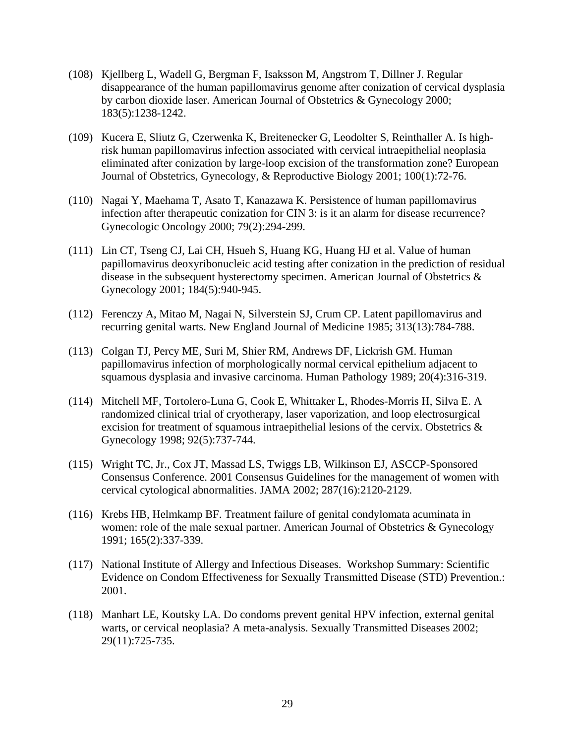- (108) Kjellberg L, Wadell G, Bergman F, Isaksson M, Angstrom T, Dillner J. Regular disappearance of the human papillomavirus genome after conization of cervical dysplasia by carbon dioxide laser. American Journal of Obstetrics & Gynecology 2000; 183(5):1238-1242.
- (109) Kucera E, Sliutz G, Czerwenka K, Breitenecker G, Leodolter S, Reinthaller A. Is highrisk human papillomavirus infection associated with cervical intraepithelial neoplasia eliminated after conization by large-loop excision of the transformation zone? European Journal of Obstetrics, Gynecology, & Reproductive Biology 2001; 100(1):72-76.
- (110) Nagai Y, Maehama T, Asato T, Kanazawa K. Persistence of human papillomavirus infection after therapeutic conization for CIN 3: is it an alarm for disease recurrence? Gynecologic Oncology 2000; 79(2):294-299.
- (111) Lin CT, Tseng CJ, Lai CH, Hsueh S, Huang KG, Huang HJ et al. Value of human papillomavirus deoxyribonucleic acid testing after conization in the prediction of residual disease in the subsequent hysterectomy specimen. American Journal of Obstetrics & Gynecology 2001; 184(5):940-945.
- (112) Ferenczy A, Mitao M, Nagai N, Silverstein SJ, Crum CP. Latent papillomavirus and recurring genital warts. New England Journal of Medicine 1985; 313(13):784-788.
- (113) Colgan TJ, Percy ME, Suri M, Shier RM, Andrews DF, Lickrish GM. Human papillomavirus infection of morphologically normal cervical epithelium adjacent to squamous dysplasia and invasive carcinoma. Human Pathology 1989; 20(4):316-319.
- (114) Mitchell MF, Tortolero-Luna G, Cook E, Whittaker L, Rhodes-Morris H, Silva E. A randomized clinical trial of cryotherapy, laser vaporization, and loop electrosurgical excision for treatment of squamous intraepithelial lesions of the cervix. Obstetrics & Gynecology 1998; 92(5):737-744.
- (115) Wright TC, Jr., Cox JT, Massad LS, Twiggs LB, Wilkinson EJ, ASCCP-Sponsored Consensus Conference. 2001 Consensus Guidelines for the management of women with cervical cytological abnormalities. JAMA 2002; 287(16):2120-2129.
- (116) Krebs HB, Helmkamp BF. Treatment failure of genital condylomata acuminata in women: role of the male sexual partner. American Journal of Obstetrics & Gynecology 1991; 165(2):337-339.
- (117) National Institute of Allergy and Infectious Diseases. Workshop Summary: Scientific Evidence on Condom Effectiveness for Sexually Transmitted Disease (STD) Prevention.: 2001.
- (118) Manhart LE, Koutsky LA. Do condoms prevent genital HPV infection, external genital warts, or cervical neoplasia? A meta-analysis. Sexually Transmitted Diseases 2002; 29(11):725-735.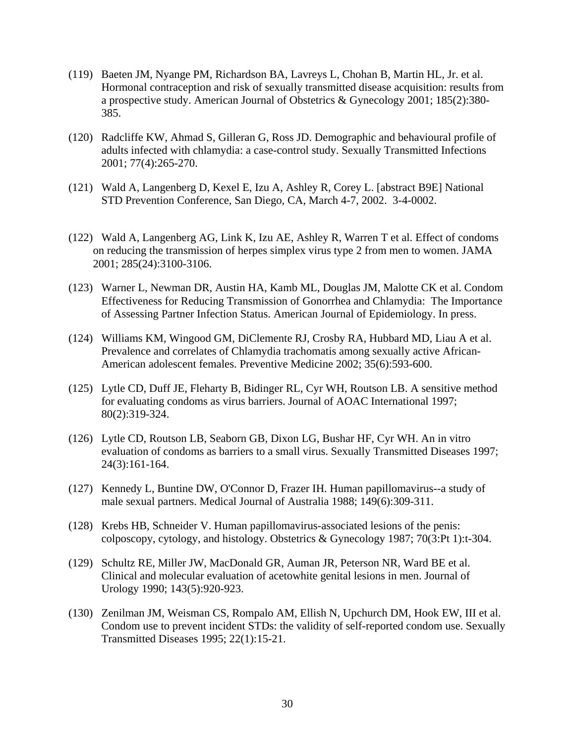- (119) Baeten JM, Nyange PM, Richardson BA, Lavreys L, Chohan B, Martin HL, Jr. et al. Hormonal contraception and risk of sexually transmitted disease acquisition: results from a prospective study. American Journal of Obstetrics & Gynecology 2001; 185(2):380- 385.
- (120) Radcliffe KW, Ahmad S, Gilleran G, Ross JD. Demographic and behavioural profile of adults infected with chlamydia: a case-control study. Sexually Transmitted Infections 2001; 77(4):265-270.
- (121) Wald A, Langenberg D, Kexel E, Izu A, Ashley R, Corey L. [abstract B9E] National STD Prevention Conference, San Diego, CA, March 4-7, 2002. 3-4-0002.
- (122) Wald A, Langenberg AG, Link K, Izu AE, Ashley R, Warren T et al. Effect of condoms on reducing the transmission of herpes simplex virus type 2 from men to women. JAMA 2001; 285(24):3100-3106.
- (123) Warner L, Newman DR, Austin HA, Kamb ML, Douglas JM, Malotte CK et al. Condom Effectiveness for Reducing Transmission of Gonorrhea and Chlamydia: The Importance of Assessing Partner Infection Status. American Journal of Epidemiology. In press.
- (124) Williams KM, Wingood GM, DiClemente RJ, Crosby RA, Hubbard MD, Liau A et al. Prevalence and correlates of Chlamydia trachomatis among sexually active African-American adolescent females. Preventive Medicine 2002; 35(6):593-600.
- (125) Lytle CD, Duff JE, Fleharty B, Bidinger RL, Cyr WH, Routson LB. A sensitive method for evaluating condoms as virus barriers. Journal of AOAC International 1997; 80(2):319-324.
- (126) Lytle CD, Routson LB, Seaborn GB, Dixon LG, Bushar HF, Cyr WH. An in vitro evaluation of condoms as barriers to a small virus. Sexually Transmitted Diseases 1997; 24(3):161-164.
- (127) Kennedy L, Buntine DW, O'Connor D, Frazer IH. Human papillomavirus--a study of male sexual partners. Medical Journal of Australia 1988; 149(6):309-311.
- (128) Krebs HB, Schneider V. Human papillomavirus-associated lesions of the penis: colposcopy, cytology, and histology. Obstetrics & Gynecology 1987; 70(3:Pt 1):t-304.
- (129) Schultz RE, Miller JW, MacDonald GR, Auman JR, Peterson NR, Ward BE et al. Clinical and molecular evaluation of acetowhite genital lesions in men. Journal of Urology 1990; 143(5):920-923.
- (130) Zenilman JM, Weisman CS, Rompalo AM, Ellish N, Upchurch DM, Hook EW, III et al. Condom use to prevent incident STDs: the validity of self-reported condom use. Sexually Transmitted Diseases 1995; 22(1):15-21.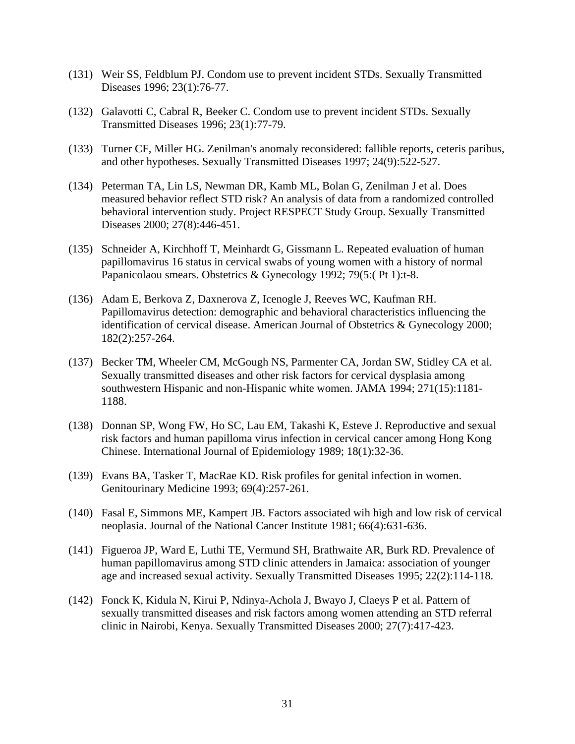- (131) Weir SS, Feldblum PJ. Condom use to prevent incident STDs. Sexually Transmitted Diseases 1996; 23(1):76-77.
- (132) Galavotti C, Cabral R, Beeker C. Condom use to prevent incident STDs. Sexually Transmitted Diseases 1996; 23(1):77-79.
- (133) Turner CF, Miller HG. Zenilman's anomaly reconsidered: fallible reports, ceteris paribus, and other hypotheses. Sexually Transmitted Diseases 1997; 24(9):522-527.
- (134) Peterman TA, Lin LS, Newman DR, Kamb ML, Bolan G, Zenilman J et al. Does measured behavior reflect STD risk? An analysis of data from a randomized controlled behavioral intervention study. Project RESPECT Study Group. Sexually Transmitted Diseases 2000; 27(8):446-451.
- (135) Schneider A, Kirchhoff T, Meinhardt G, Gissmann L. Repeated evaluation of human papillomavirus 16 status in cervical swabs of young women with a history of normal Papanicolaou smears. Obstetrics & Gynecology 1992; 79(5:( Pt 1):t-8.
- (136) Adam E, Berkova Z, Daxnerova Z, Icenogle J, Reeves WC, Kaufman RH. Papillomavirus detection: demographic and behavioral characteristics influencing the identification of cervical disease. American Journal of Obstetrics & Gynecology 2000; 182(2):257-264.
- (137) Becker TM, Wheeler CM, McGough NS, Parmenter CA, Jordan SW, Stidley CA et al. Sexually transmitted diseases and other risk factors for cervical dysplasia among southwestern Hispanic and non-Hispanic white women. JAMA 1994; 271(15):1181- 1188.
- (138) Donnan SP, Wong FW, Ho SC, Lau EM, Takashi K, Esteve J. Reproductive and sexual risk factors and human papilloma virus infection in cervical cancer among Hong Kong Chinese. International Journal of Epidemiology 1989; 18(1):32-36.
- (139) Evans BA, Tasker T, MacRae KD. Risk profiles for genital infection in women. Genitourinary Medicine 1993; 69(4):257-261.
- (140) Fasal E, Simmons ME, Kampert JB. Factors associated wih high and low risk of cervical neoplasia. Journal of the National Cancer Institute 1981; 66(4):631-636.
- (141) Figueroa JP, Ward E, Luthi TE, Vermund SH, Brathwaite AR, Burk RD. Prevalence of human papillomavirus among STD clinic attenders in Jamaica: association of younger age and increased sexual activity. Sexually Transmitted Diseases 1995; 22(2):114-118.
- (142) Fonck K, Kidula N, Kirui P, Ndinya-Achola J, Bwayo J, Claeys P et al. Pattern of sexually transmitted diseases and risk factors among women attending an STD referral clinic in Nairobi, Kenya. Sexually Transmitted Diseases 2000; 27(7):417-423.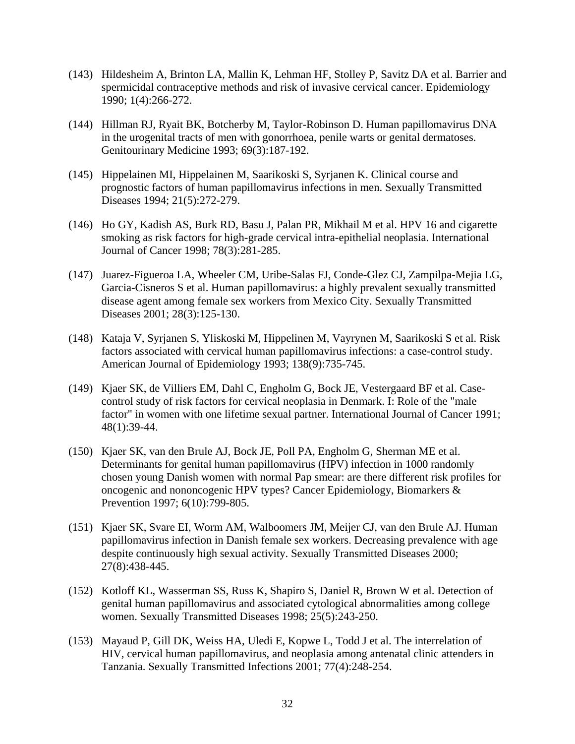- (143) Hildesheim A, Brinton LA, Mallin K, Lehman HF, Stolley P, Savitz DA et al. Barrier and spermicidal contraceptive methods and risk of invasive cervical cancer. Epidemiology 1990; 1(4):266-272.
- (144) Hillman RJ, Ryait BK, Botcherby M, Taylor-Robinson D. Human papillomavirus DNA in the urogenital tracts of men with gonorrhoea, penile warts or genital dermatoses. Genitourinary Medicine 1993; 69(3):187-192.
- (145) Hippelainen MI, Hippelainen M, Saarikoski S, Syrjanen K. Clinical course and prognostic factors of human papillomavirus infections in men. Sexually Transmitted Diseases 1994; 21(5):272-279.
- (146) Ho GY, Kadish AS, Burk RD, Basu J, Palan PR, Mikhail M et al. HPV 16 and cigarette smoking as risk factors for high-grade cervical intra-epithelial neoplasia. International Journal of Cancer 1998; 78(3):281-285.
- (147) Juarez-Figueroa LA, Wheeler CM, Uribe-Salas FJ, Conde-Glez CJ, Zampilpa-Mejia LG, Garcia-Cisneros S et al. Human papillomavirus: a highly prevalent sexually transmitted disease agent among female sex workers from Mexico City. Sexually Transmitted Diseases 2001; 28(3):125-130.
- (148) Kataja V, Syrjanen S, Yliskoski M, Hippelinen M, Vayrynen M, Saarikoski S et al. Risk factors associated with cervical human papillomavirus infections: a case-control study. American Journal of Epidemiology 1993; 138(9):735-745.
- (149) Kjaer SK, de Villiers EM, Dahl C, Engholm G, Bock JE, Vestergaard BF et al. Casecontrol study of risk factors for cervical neoplasia in Denmark. I: Role of the "male factor" in women with one lifetime sexual partner. International Journal of Cancer 1991; 48(1):39-44.
- (150) Kjaer SK, van den Brule AJ, Bock JE, Poll PA, Engholm G, Sherman ME et al. Determinants for genital human papillomavirus (HPV) infection in 1000 randomly chosen young Danish women with normal Pap smear: are there different risk profiles for oncogenic and nononcogenic HPV types? Cancer Epidemiology, Biomarkers & Prevention 1997; 6(10):799-805.
- (151) Kjaer SK, Svare EI, Worm AM, Walboomers JM, Meijer CJ, van den Brule AJ. Human papillomavirus infection in Danish female sex workers. Decreasing prevalence with age despite continuously high sexual activity. Sexually Transmitted Diseases 2000; 27(8):438-445.
- (152) Kotloff KL, Wasserman SS, Russ K, Shapiro S, Daniel R, Brown W et al. Detection of genital human papillomavirus and associated cytological abnormalities among college women. Sexually Transmitted Diseases 1998; 25(5):243-250.
- (153) Mayaud P, Gill DK, Weiss HA, Uledi E, Kopwe L, Todd J et al. The interrelation of HIV, cervical human papillomavirus, and neoplasia among antenatal clinic attenders in Tanzania. Sexually Transmitted Infections 2001; 77(4):248-254.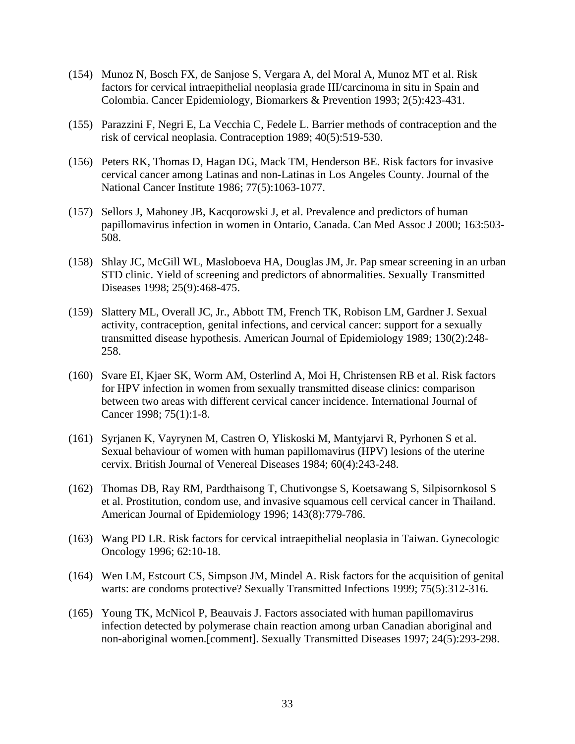- (154) Munoz N, Bosch FX, de Sanjose S, Vergara A, del Moral A, Munoz MT et al. Risk factors for cervical intraepithelial neoplasia grade III/carcinoma in situ in Spain and Colombia. Cancer Epidemiology, Biomarkers & Prevention 1993; 2(5):423-431.
- (155) Parazzini F, Negri E, La Vecchia C, Fedele L. Barrier methods of contraception and the risk of cervical neoplasia. Contraception 1989; 40(5):519-530.
- (156) Peters RK, Thomas D, Hagan DG, Mack TM, Henderson BE. Risk factors for invasive cervical cancer among Latinas and non-Latinas in Los Angeles County. Journal of the National Cancer Institute 1986; 77(5):1063-1077.
- (157) Sellors J, Mahoney JB, Kacqorowski J, et al. Prevalence and predictors of human papillomavirus infection in women in Ontario, Canada. Can Med Assoc J 2000; 163:503- 508.
- (158) Shlay JC, McGill WL, Masloboeva HA, Douglas JM, Jr. Pap smear screening in an urban STD clinic. Yield of screening and predictors of abnormalities. Sexually Transmitted Diseases 1998; 25(9):468-475.
- (159) Slattery ML, Overall JC, Jr., Abbott TM, French TK, Robison LM, Gardner J. Sexual activity, contraception, genital infections, and cervical cancer: support for a sexually transmitted disease hypothesis. American Journal of Epidemiology 1989; 130(2):248- 258.
- (160) Svare EI, Kjaer SK, Worm AM, Osterlind A, Moi H, Christensen RB et al. Risk factors for HPV infection in women from sexually transmitted disease clinics: comparison between two areas with different cervical cancer incidence. International Journal of Cancer 1998; 75(1):1-8.
- (161) Syrjanen K, Vayrynen M, Castren O, Yliskoski M, Mantyjarvi R, Pyrhonen S et al. Sexual behaviour of women with human papillomavirus (HPV) lesions of the uterine cervix. British Journal of Venereal Diseases 1984; 60(4):243-248.
- (162) Thomas DB, Ray RM, Pardthaisong T, Chutivongse S, Koetsawang S, Silpisornkosol S et al. Prostitution, condom use, and invasive squamous cell cervical cancer in Thailand. American Journal of Epidemiology 1996; 143(8):779-786.
- (163) Wang PD LR. Risk factors for cervical intraepithelial neoplasia in Taiwan. Gynecologic Oncology 1996; 62:10-18.
- (164) Wen LM, Estcourt CS, Simpson JM, Mindel A. Risk factors for the acquisition of genital warts: are condoms protective? Sexually Transmitted Infections 1999; 75(5):312-316.
- (165) Young TK, McNicol P, Beauvais J. Factors associated with human papillomavirus infection detected by polymerase chain reaction among urban Canadian aboriginal and non-aboriginal women.[comment]. Sexually Transmitted Diseases 1997; 24(5):293-298.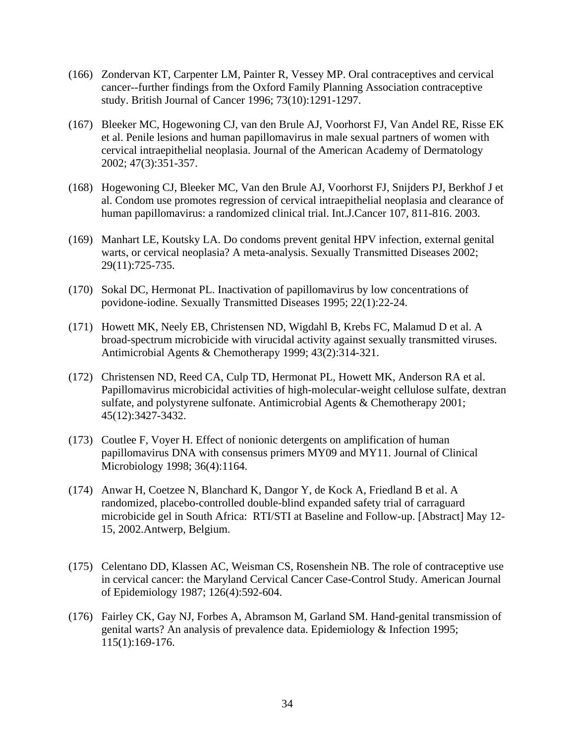- (166) Zondervan KT, Carpenter LM, Painter R, Vessey MP. Oral contraceptives and cervical cancer--further findings from the Oxford Family Planning Association contraceptive study. British Journal of Cancer 1996; 73(10):1291-1297.
- (167) Bleeker MC, Hogewoning CJ, van den Brule AJ, Voorhorst FJ, Van Andel RE, Risse EK et al. Penile lesions and human papillomavirus in male sexual partners of women with cervical intraepithelial neoplasia. Journal of the American Academy of Dermatology 2002; 47(3):351-357.
- (168) Hogewoning CJ, Bleeker MC, Van den Brule AJ, Voorhorst FJ, Snijders PJ, Berkhof J et al. Condom use promotes regression of cervical intraepithelial neoplasia and clearance of human papillomavirus: a randomized clinical trial. Int.J.Cancer 107, 811-816. 2003.
- (169) Manhart LE, Koutsky LA. Do condoms prevent genital HPV infection, external genital warts, or cervical neoplasia? A meta-analysis. Sexually Transmitted Diseases 2002; 29(11):725-735.
- (170) Sokal DC, Hermonat PL. Inactivation of papillomavirus by low concentrations of povidone-iodine. Sexually Transmitted Diseases 1995; 22(1):22-24.
- (171) Howett MK, Neely EB, Christensen ND, Wigdahl B, Krebs FC, Malamud D et al. A broad-spectrum microbicide with virucidal activity against sexually transmitted viruses. Antimicrobial Agents & Chemotherapy 1999; 43(2):314-321.
- (172) Christensen ND, Reed CA, Culp TD, Hermonat PL, Howett MK, Anderson RA et al. Papillomavirus microbicidal activities of high-molecular-weight cellulose sulfate, dextran sulfate, and polystyrene sulfonate. Antimicrobial Agents & Chemotherapy 2001; 45(12):3427-3432.
- (173) Coutlee F, Voyer H. Effect of nonionic detergents on amplification of human papillomavirus DNA with consensus primers MY09 and MY11. Journal of Clinical Microbiology 1998; 36(4):1164.
- (174) Anwar H, Coetzee N, Blanchard K, Dangor Y, de Kock A, Friedland B et al. A randomized, placebo-controlled double-blind expanded safety trial of carraguard microbicide gel in South Africa: RTI/STI at Baseline and Follow-up. [Abstract] May 12- 15, 2002.Antwerp, Belgium.
- (175) Celentano DD, Klassen AC, Weisman CS, Rosenshein NB. The role of contraceptive use in cervical cancer: the Maryland Cervical Cancer Case-Control Study. American Journal of Epidemiology 1987; 126(4):592-604.
- (176) Fairley CK, Gay NJ, Forbes A, Abramson M, Garland SM. Hand-genital transmission of genital warts? An analysis of prevalence data. Epidemiology & Infection 1995; 115(1):169-176.